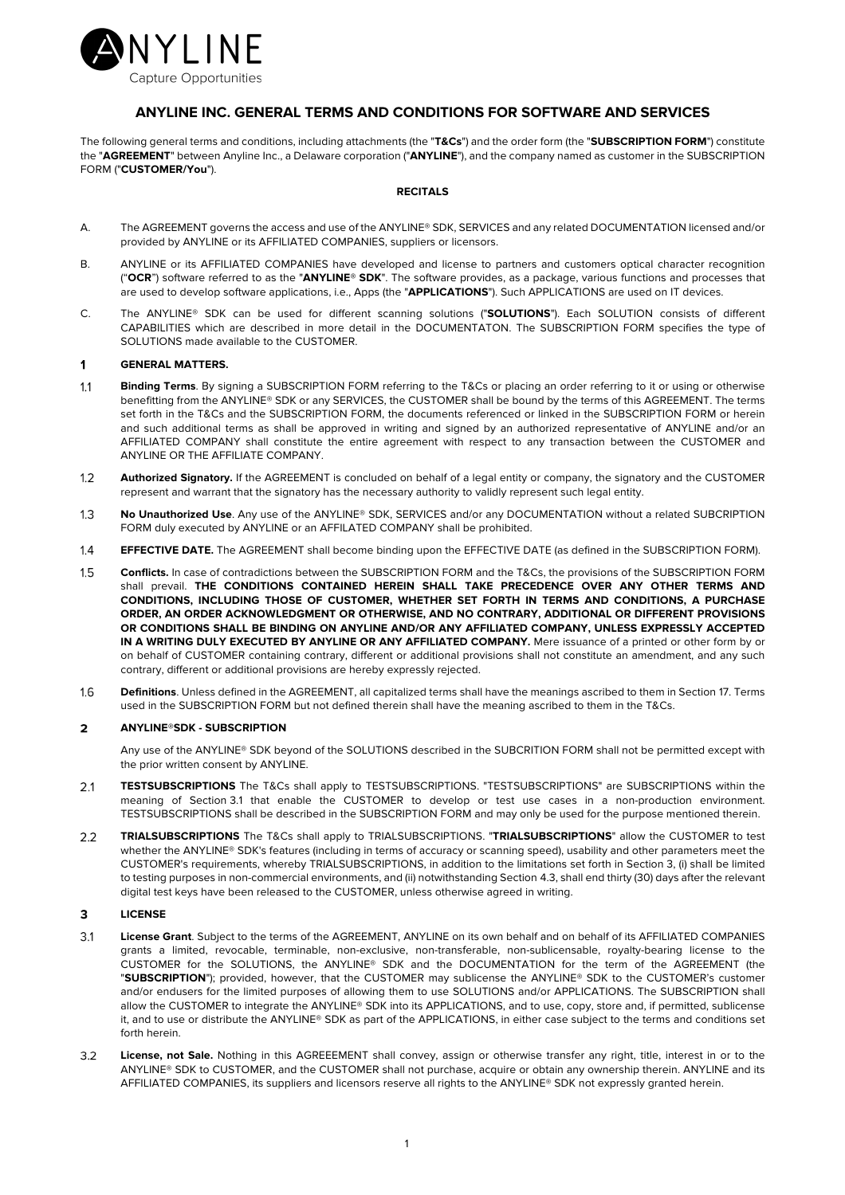

# **ANYLINE INC. GENERAL TERMS AND CONDITIONS FOR SOFTWARE AND SERVICES**

The following general terms and conditions, including attachments (the "**T&Cs**") and the order form (the "**SUBSCRIPTION FORM**") constitute the "**AGREEMENT**" between Anyline Inc., a Delaware corporation ("**ANYLINE**"), and the company named as customer in the SUBSCRIPTION FORM ("**CUSTOMER/You**").

## **RECITALS**

- A. The AGREEMENT governs the access and use of the ANYLINE® SDK, SERVICES and any related DOCUMENTATION licensed and/or provided by ANYLINE or its AFFILIATED COMPANIES, suppliers or licensors.
- B. ANYLINE or its AFFILIATED COMPANIES have developed and license to partners and customers optical character recognition ("**OCR**") software referred to as the "**ANYLINE® SDK**". The software provides, as a package, various functions and processes that are used to develop software applications, i.e., Apps (the "**APPLICATIONS**"). Such APPLICATIONS are used on IT devices.
- C. The ANYLINE® SDK can be used for different scanning solutions ("**SOLUTIONS**"). Each SOLUTION consists of different CAPABILITIES which are described in more detail in the DOCUMENTATON. The SUBSCRIPTION FORM specifies the type of SOLUTIONS made available to the CUSTOMER.

## **GENERAL MATTERS.**  $\ddot{\mathbf{1}}$

- $1.1$ **Binding Terms**. By signing a SUBSCRIPTION FORM referring to the T&Cs or placing an order referring to it or using or otherwise benefitting from the ANYLINE® SDK or any SERVICES, the CUSTOMER shall be bound by the terms of this AGREEMENT. The terms set forth in the T&Cs and the SUBSCRIPTION FORM, the documents referenced or linked in the SUBSCRIPTION FORM or herein and such additional terms as shall be approved in writing and signed by an authorized representative of ANYLINE and/or an AFFILIATED COMPANY shall constitute the entire agreement with respect to any transaction between the CUSTOMER and ANYLINE OR THE AFFILIATE COMPANY.
- $1.2$ **Authorized Signatory.** If the AGREEMENT is concluded on behalf of a legal entity or company, the signatory and the CUSTOMER represent and warrant that the signatory has the necessary authority to validly represent such legal entity.
- $1.3$ **No Unauthorized Use**. Any use of the ANYLINE® SDK, SERVICES and/or any DOCUMENTATION without a related SUBCRIPTION FORM duly executed by ANYLINE or an AFFILATED COMPANY shall be prohibited.
- $1.4$ **EFFECTIVE DATE.** The AGREEMENT shall become binding upon the EFFECTIVE DATE (as defined in the SUBSCRIPTION FORM).
- $1.5$ **Conflicts.** In case of contradictions between the SUBSCRIPTION FORM and the T&Cs, the provisions of the SUBSCRIPTION FORM shall prevail. **THE CONDITIONS CONTAINED HEREIN SHALL TAKE PRECEDENCE OVER ANY OTHER TERMS AND CONDITIONS, INCLUDING THOSE OF CUSTOMER, WHETHER SET FORTH IN TERMS AND CONDITIONS, A PURCHASE ORDER, AN ORDER ACKNOWLEDGMENT OR OTHERWISE, AND NO CONTRARY, ADDITIONAL OR DIFFERENT PROVISIONS OR CONDITIONS SHALL BE BINDING ON ANYLINE AND/OR ANY AFFILIATED COMPANY, UNLESS EXPRESSLY ACCEPTED IN A WRITING DULY EXECUTED BY ANYLINE OR ANY AFFILIATED COMPANY.** Mere issuance of a printed or other form by or on behalf of CUSTOMER containing contrary, different or additional provisions shall not constitute an amendment, and any such contrary, different or additional provisions are hereby expressly rejected.
- $1.6$ **Definitions**. Unless defined in the AGREEMENT, all capitalized terms shall have the meanings ascribed to them in Section 17. Terms used in the SUBSCRIPTION FORM but not defined therein shall have the meaning ascribed to them in the T&Cs.

## $\overline{2}$ **ANYLINE®SDK - SUBSCRIPTION**

Any use of the ANYLINE® SDK beyond of the SOLUTIONS described in the SUBCRITION FORM shall not be permitted except with the prior written consent by ANYLINE.

- **TESTSUBSCRIPTIONS** The T&Cs shall apply to TESTSUBSCRIPTIONS. "TESTSUBSCRIPTIONS" are SUBSCRIPTIONS within the  $2.1$ meaning of Section 3.1 that enable the CUSTOMER to develop or test use cases in a non-production environment. TESTSUBSCRIPTIONS shall be described in the SUBSCRIPTION FORM and may only be used for the purpose mentioned therein.
- $2.2$ **TRIALSUBSCRIPTIONS** The T&Cs shall apply to TRIALSUBSCRIPTIONS. "**TRIALSUBSCRIPTIONS**" allow the CUSTOMER to test whether the ANYLINE® SDK's features (including in terms of accuracy or scanning speed), usability and other parameters meet the CUSTOMER's requirements, whereby TRIALSUBSCRIPTIONS, in addition to the limitations set forth in Section 3, (i) shall be limited to testing purposes in non-commercial environments, and (ii) notwithstanding Section 4.3, shall end thirty (30) days after the relevant digital test keys have been released to the CUSTOMER, unless otherwise agreed in writing.

## $\overline{\mathbf{3}}$ **LICENSE**

- $31$ **License Grant**. Subject to the terms of the AGREEMENT, ANYLINE on its own behalf and on behalf of its AFFILIATED COMPANIES grants a limited, revocable, terminable, non-exclusive, non-transferable, non-sublicensable, royalty-bearing license to the CUSTOMER for the SOLUTIONS, the ANYLINE® SDK and the DOCUMENTATION for the term of the AGREEMENT (the "**SUBSCRIPTION**"); provided, however, that the CUSTOMER may sublicense the ANYLINE® SDK to the CUSTOMER's customer and/or endusers for the limited purposes of allowing them to use SOLUTIONS and/or APPLICATIONS. The SUBSCRIPTION shall allow the CUSTOMER to integrate the ANYLINE® SDK into its APPLICATIONS, and to use, copy, store and, if permitted, sublicense it, and to use or distribute the ANYLINE® SDK as part of the APPLICATIONS, in either case subject to the terms and conditions set forth herein.
- 32 **License, not Sale.** Nothing in this AGREEEMENT shall convey, assign or otherwise transfer any right, title, interest in or to the ANYLINE® SDK to CUSTOMER, and the CUSTOMER shall not purchase, acquire or obtain any ownership therein. ANYLINE and its AFFILIATED COMPANIES, its suppliers and licensors reserve all rights to the ANYLINE® SDK not expressly granted herein.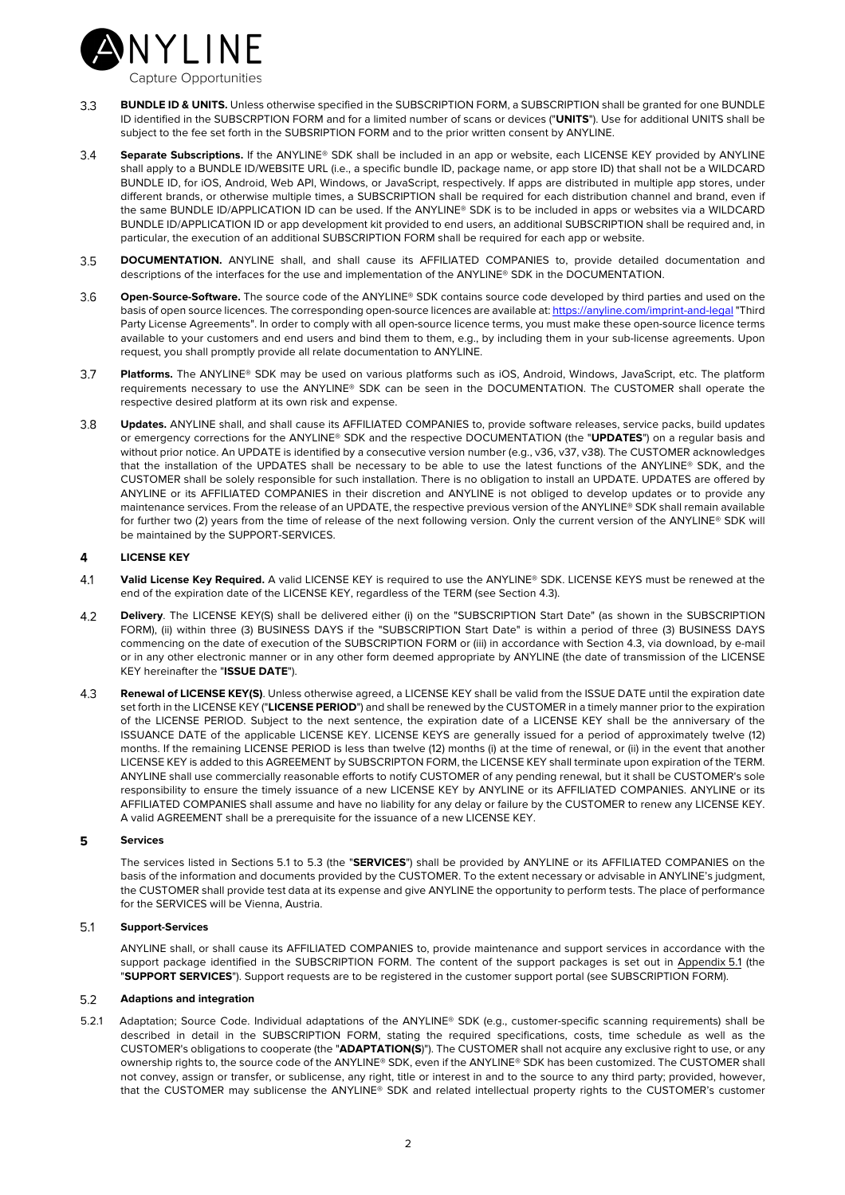

- $3.3$ **BUNDLE ID & UNITS.** Unless otherwise specified in the SUBSCRIPTION FORM, a SUBSCRIPTION shall be granted for one BUNDLE ID identified in the SUBSCRPTION FORM and for a limited number of scans or devices ("**UNITS**"). Use for additional UNITS shall be subject to the fee set forth in the SUBSRIPTION FORM and to the prior written consent by ANYLINE.
- **Separate Subscriptions.** If the ANYLINE® SDK shall be included in an app or website, each LICENSE KEY provided by ANYLINE 34 shall apply to a BUNDLE ID/WEBSITE URL (i.e., a specific bundle ID, package name, or app store ID) that shall not be a WILDCARD BUNDLE ID, for iOS, Android, Web API, Windows, or JavaScript, respectively. If apps are distributed in multiple app stores, under different brands, or otherwise multiple times, a SUBSCRIPTION shall be required for each distribution channel and brand, even if the same BUNDLE ID/APPLICATION ID can be used. If the ANYLINE® SDK is to be included in apps or websites via a WILDCARD BUNDLE ID/APPLICATION ID or app development kit provided to end users, an additional SUBSCRIPTION shall be required and, in particular, the execution of an additional SUBSCRIPTION FORM shall be required for each app or website.
- **DOCUMENTATION.** ANYLINE shall, and shall cause its AFFILIATED COMPANIES to, provide detailed documentation and  $35$ descriptions of the interfaces for the use and implementation of the ANYLINE® SDK in the DOCUMENTATION.
- **Open-Source-Software.** The source code of the ANYLINE® SDK contains source code developed by third parties and used on the  $3.6$ basis of open source licences. The corresponding open-source licences are available at: https://anyline.com/imprint-and-legal "Third Party License Agreements". In order to comply with all open-source licence terms, you must make these open-source licence terms available to your customers and end users and bind them to them, e.g., by including them in your sub-license agreements. Upon request, you shall promptly provide all relate documentation to ANYLINE.
- **Platforms.** The ANYLINE® SDK may be used on various platforms such as iOS, Android, Windows, JavaScript, etc. The platform  $3.7$ requirements necessary to use the ANYLINE® SDK can be seen in the DOCUMENTATION. The CUSTOMER shall operate the respective desired platform at its own risk and expense.
- **Updates.** ANYLINE shall, and shall cause its AFFILIATED COMPANIES to, provide software releases, service packs, build updates  $3.8$ or emergency corrections for the ANYLINE® SDK and the respective DOCUMENTATION (the "**UPDATES**") on a regular basis and without prior notice. An UPDATE is identified by a consecutive version number (e.g., v36, v37, v38). The CUSTOMER acknowledges that the installation of the UPDATES shall be necessary to be able to use the latest functions of the ANYLINE® SDK, and the CUSTOMER shall be solely responsible for such installation. There is no obligation to install an UPDATE. UPDATES are offered by ANYLINE or its AFFILIATED COMPANIES in their discretion and ANYLINE is not obliged to develop updates or to provide any maintenance services. From the release of an UPDATE, the respective previous version of the ANYLINE® SDK shall remain available for further two (2) years from the time of release of the next following version. Only the current version of the ANYLINE® SDK will be maintained by the SUPPORT-SERVICES.

## 4 **LICENSE KEY**

- $4.1$ **Valid License Key Required.** A valid LICENSE KEY is required to use the ANYLINE® SDK. LICENSE KEYS must be renewed at the end of the expiration date of the LICENSE KEY, regardless of the TERM (see Section 4.3).
- **Delivery**. The LICENSE KEY(S) shall be delivered either (i) on the "SUBSCRIPTION Start Date" (as shown in the SUBSCRIPTION 4.2 FORM), (ii) within three (3) BUSINESS DAYS if the "SUBSCRIPTION Start Date" is within a period of three (3) BUSINESS DAYS commencing on the date of execution of the SUBSCRIPTION FORM or (iii) in accordance with Section 4.3, via download, by e-mail or in any other electronic manner or in any other form deemed appropriate by ANYLINE (the date of transmission of the LICENSE KEY hereinafter the "**ISSUE DATE**").
- $4.3$ **Renewal of LICENSE KEY(S)**. Unless otherwise agreed, a LICENSE KEY shall be valid from the ISSUE DATE until the expiration date set forth in the LICENSE KEY ("**LICENSE PERIOD**") and shall be renewed by the CUSTOMER in a timely manner prior to the expiration of the LICENSE PERIOD. Subject to the next sentence, the expiration date of a LICENSE KEY shall be the anniversary of the ISSUANCE DATE of the applicable LICENSE KEY. LICENSE KEYS are generally issued for a period of approximately twelve (12) months. If the remaining LICENSE PERIOD is less than twelve (12) months (i) at the time of renewal, or (ii) in the event that another LICENSE KEY is added to this AGREEMENT by SUBSCRIPTON FORM, the LICENSE KEY shall terminate upon expiration of the TERM. ANYLINE shall use commercially reasonable efforts to notify CUSTOMER of any pending renewal, but it shall be CUSTOMER's sole responsibility to ensure the timely issuance of a new LICENSE KEY by ANYLINE or its AFFILIATED COMPANIES. ANYLINE or its AFFILIATED COMPANIES shall assume and have no liability for any delay or failure by the CUSTOMER to renew any LICENSE KEY. A valid AGREEMENT shall be a prerequisite for the issuance of a new LICENSE KEY.

## 5 **Services**

The services listed in Sections 5.1 to 5.3 (the "**SERVICES**") shall be provided by ANYLINE or its AFFILIATED COMPANIES on the basis of the information and documents provided by the CUSTOMER. To the extent necessary or advisable in ANYLINE's judgment, the CUSTOMER shall provide test data at its expense and give ANYLINE the opportunity to perform tests. The place of performance for the SERVICES will be Vienna, Austria.

## $5.1$ **Support-Services**

ANYLINE shall, or shall cause its AFFILIATED COMPANIES to, provide maintenance and support services in accordance with the support package identified in the SUBSCRIPTION FORM. The content of the support packages is set out in Appendix 5.1 (the "**SUPPORT SERVICES**"). Support requests are to be registered in the customer support portal (see SUBSCRIPTION FORM).

## $5.2$ **Adaptions and integration**

5.2.1 Adaptation; Source Code. Individual adaptations of the ANYLINE® SDK (e.g., customer-specific scanning requirements) shall be described in detail in the SUBSCRIPTION FORM, stating the required specifications, costs, time schedule as well as the CUSTOMER's obligations to cooperate (the "**ADAPTATION(S**)"). The CUSTOMER shall not acquire any exclusive right to use, or any ownership rights to, the source code of the ANYLINE® SDK, even if the ANYLINE® SDK has been customized. The CUSTOMER shall not convey, assign or transfer, or sublicense, any right, title or interest in and to the source to any third party; provided, however, that the CUSTOMER may sublicense the ANYLINE® SDK and related intellectual property rights to the CUSTOMER's customer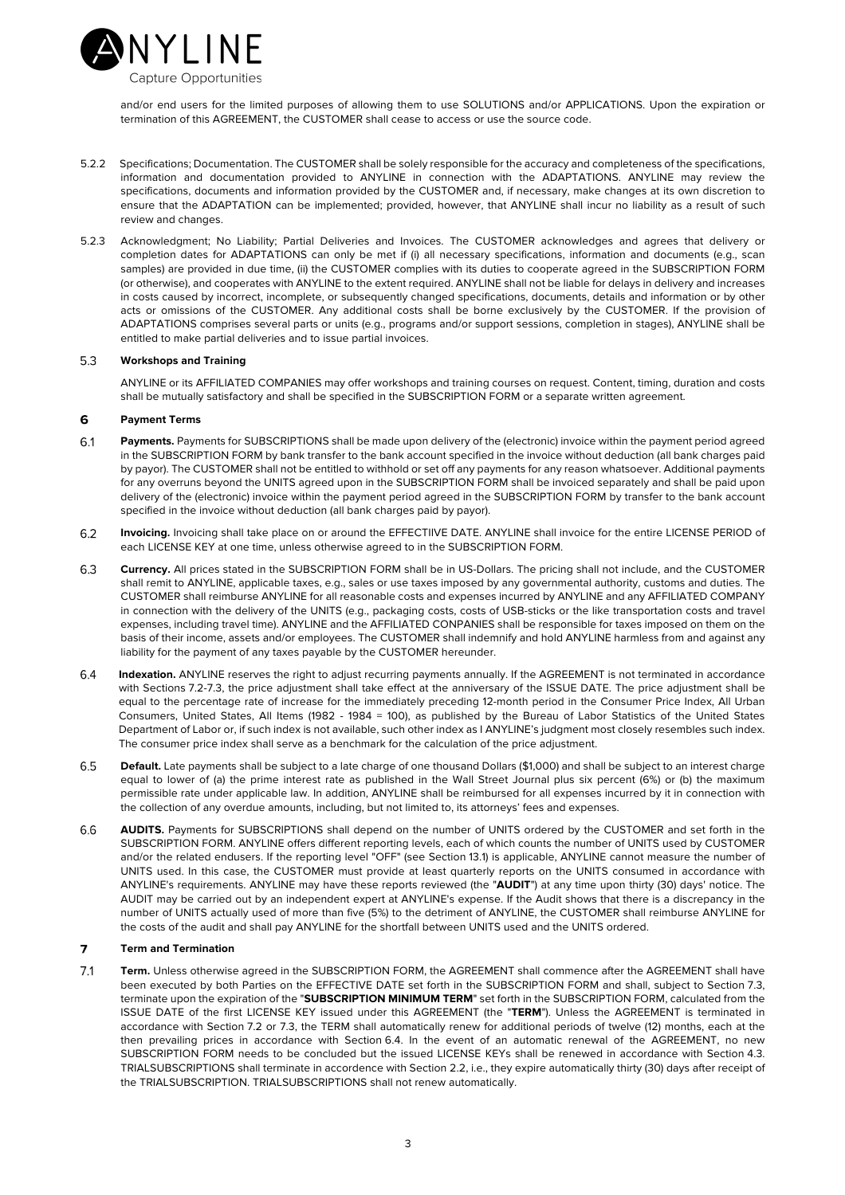

and/or end users for the limited purposes of allowing them to use SOLUTIONS and/or APPLICATIONS. Upon the expiration or termination of this AGREEMENT, the CUSTOMER shall cease to access or use the source code.

- 5.2.2 Specifications; Documentation. The CUSTOMER shall be solely responsible for the accuracy and completeness of the specifications, information and documentation provided to ANYLINE in connection with the ADAPTATIONS. ANYLINE may review the specifications, documents and information provided by the CUSTOMER and, if necessary, make changes at its own discretion to ensure that the ADAPTATION can be implemented; provided, however, that ANYLINE shall incur no liability as a result of such review and changes.
- 5.2.3 Acknowledgment; No Liability; Partial Deliveries and Invoices. The CUSTOMER acknowledges and agrees that delivery or completion dates for ADAPTATIONS can only be met if (i) all necessary specifications, information and documents (e.g., scan samples) are provided in due time, (ii) the CUSTOMER complies with its duties to cooperate agreed in the SUBSCRIPTION FORM (or otherwise), and cooperates with ANYLINE to the extent required. ANYLINE shall not be liable for delays in delivery and increases in costs caused by incorrect, incomplete, or subsequently changed specifications, documents, details and information or by other acts or omissions of the CUSTOMER. Any additional costs shall be borne exclusively by the CUSTOMER. If the provision of ADAPTATIONS comprises several parts or units (e.g., programs and/or support sessions, completion in stages), ANYLINE shall be entitled to make partial deliveries and to issue partial invoices.

## $5.3$ **Workshops and Training**

ANYLINE or its AFFILIATED COMPANIES may offer workshops and training courses on request. Content, timing, duration and costs shall be mutually satisfactory and shall be specified in the SUBSCRIPTION FORM or a separate written agreement.

## 6 **Payment Terms**

- 6.1 Payments. Payments for SUBSCRIPTIONS shall be made upon delivery of the (electronic) invoice within the payment period agreed in the SUBSCRIPTION FORM by bank transfer to the bank account specified in the invoice without deduction (all bank charges paid by payor). The CUSTOMER shall not be entitled to withhold or set off any payments for any reason whatsoever. Additional payments for any overruns beyond the UNITS agreed upon in the SUBSCRIPTION FORM shall be invoiced separately and shall be paid upon delivery of the (electronic) invoice within the payment period agreed in the SUBSCRIPTION FORM by transfer to the bank account specified in the invoice without deduction (all bank charges paid by payor).
- 6.2 **Invoicing.** Invoicing shall take place on or around the EFFECTIIVE DATE. ANYLINE shall invoice for the entire LICENSE PERIOD of each LICENSE KEY at one time, unless otherwise agreed to in the SUBSCRIPTION FORM.
- 6.3 **Currency.** All prices stated in the SUBSCRIPTION FORM shall be in US-Dollars. The pricing shall not include, and the CUSTOMER shall remit to ANYLINE, applicable taxes, e.g., sales or use taxes imposed by any governmental authority, customs and duties. The CUSTOMER shall reimburse ANYLINE for all reasonable costs and expenses incurred by ANYLINE and any AFFILIATED COMPANY in connection with the delivery of the UNITS (e.g., packaging costs, costs of USB-sticks or the like transportation costs and travel expenses, including travel time). ANYLINE and the AFFILIATED CONPANIES shall be responsible for taxes imposed on them on the basis of their income, assets and/or employees. The CUSTOMER shall indemnify and hold ANYLINE harmless from and against any liability for the payment of any taxes payable by the CUSTOMER hereunder.
- **Indexation.** ANYLINE reserves the right to adjust recurring payments annually. If the AGREEMENT is not terminated in accordance 64 with Sections 7.2-7.3, the price adjustment shall take effect at the anniversary of the ISSUE DATE. The price adjustment shall be equal to the percentage rate of increase for the immediately preceding 12-month period in the Consumer Price Index, All Urban Consumers, United States, All Items (1982 - 1984 = 100), as published by the Bureau of Labor Statistics of the United States Department of Labor or, if such index is not available, such other index as I ANYLINE's judgment most closely resembles such index. The consumer price index shall serve as a benchmark for the calculation of the price adjustment.
- 6.5 **Default.** Late payments shall be subject to a late charge of one thousand Dollars (\$1,000) and shall be subject to an interest charge equal to lower of (a) the prime interest rate as published in the Wall Street Journal plus six percent (6%) or (b) the maximum permissible rate under applicable law. In addition, ANYLINE shall be reimbursed for all expenses incurred by it in connection with the collection of any overdue amounts, including, but not limited to, its attorneys' fees and expenses.
- **AUDITS.** Payments for SUBSCRIPTIONS shall depend on the number of UNITS ordered by the CUSTOMER and set forth in the 66 SUBSCRIPTION FORM. ANYLINE offers different reporting levels, each of which counts the number of UNITS used by CUSTOMER and/or the related endusers. If the reporting level "OFF" (see Section 13.1) is applicable, ANYLINE cannot measure the number of UNITS used. In this case, the CUSTOMER must provide at least quarterly reports on the UNITS consumed in accordance with ANYLINE's requirements. ANYLINE may have these reports reviewed (the "**AUDIT**") at any time upon thirty (30) days' notice. The AUDIT may be carried out by an independent expert at ANYLINE's expense. If the Audit shows that there is a discrepancy in the number of UNITS actually used of more than five (5%) to the detriment of ANYLINE, the CUSTOMER shall reimburse ANYLINE for the costs of the audit and shall pay ANYLINE for the shortfall between UNITS used and the UNITS ordered.

## $\overline{7}$ **Term and Termination**

 $7.1$ **Term.** Unless otherwise agreed in the SUBSCRIPTION FORM, the AGREEMENT shall commence after the AGREEMENT shall have been executed by both Parties on the EFFECTIVE DATE set forth in the SUBSCRIPTION FORM and shall, subject to Section 7.3, terminate upon the expiration of the "**SUBSCRIPTION MINIMUM TERM**" set forth in the SUBSCRIPTION FORM, calculated from the ISSUE DATE of the first LICENSE KEY issued under this AGREEMENT (the "**TERM**"). Unless the AGREEMENT is terminated in accordance with Section 7.2 or 7.3, the TERM shall automatically renew for additional periods of twelve (12) months, each at the then prevailing prices in accordance with Section 6.4. In the event of an automatic renewal of the AGREEMENT, no new SUBSCRIPTION FORM needs to be concluded but the issued LICENSE KEYs shall be renewed in accordance with Section 4.3. TRIALSUBSCRIPTIONS shall terminate in accordence with Section 2.2, i.e., they expire automatically thirty (30) days after receipt of the TRIALSUBSCRIPTION. TRIALSUBSCRIPTIONS shall not renew automatically.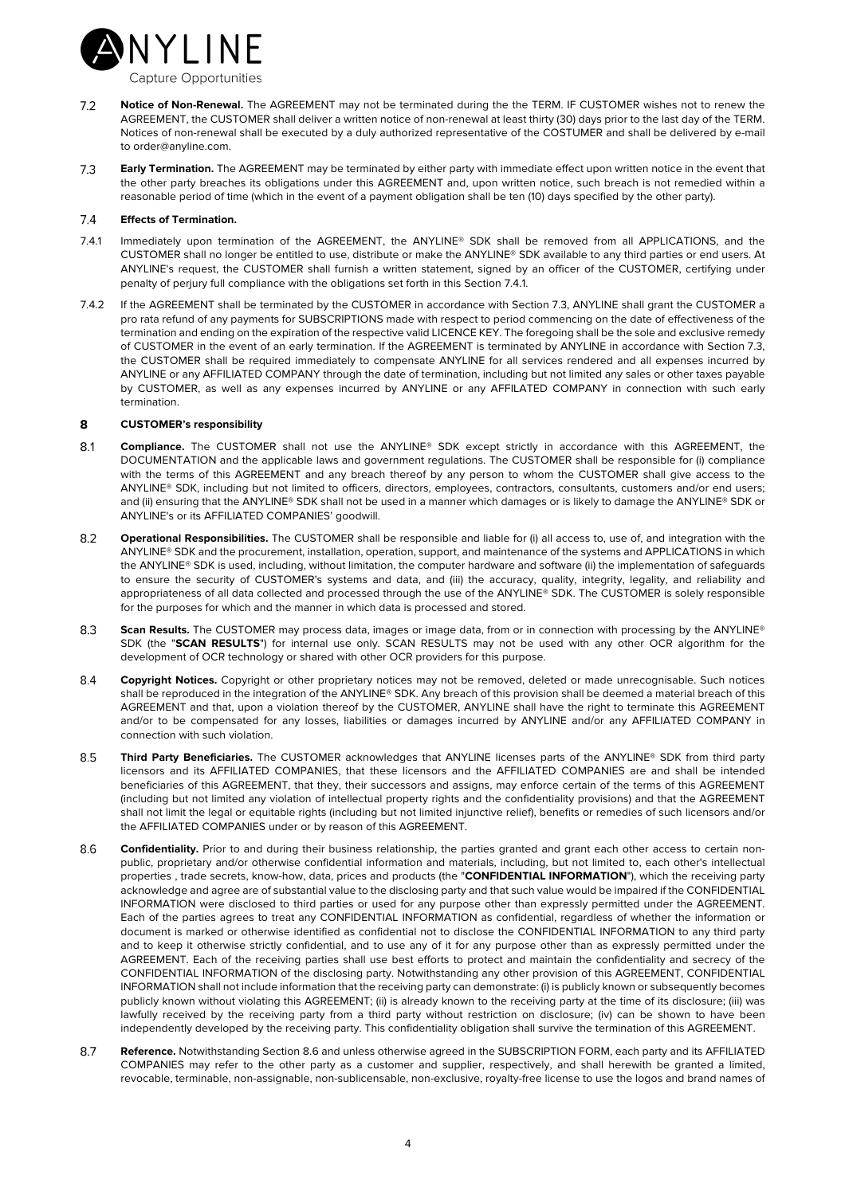

- $7.2$ **Notice of Non-Renewal.** The AGREEMENT may not be terminated during the the TERM. IF CUSTOMER wishes not to renew the AGREEMENT, the CUSTOMER shall deliver a written notice of non-renewal at least thirty (30) days prior to the last day of the TERM. Notices of non-renewal shall be executed by a duly authorized representative of the COSTUMER and shall be delivered by e-mail to order@anyline.com.
- $7.3$ **Early Termination.** The AGREEMENT may be terminated by either party with immediate effect upon written notice in the event that the other party breaches its obligations under this AGREEMENT and, upon written notice, such breach is not remedied within a reasonable period of time (which in the event of a payment obligation shall be ten (10) days specified by the other party).

## $7.4$ **Effects of Termination.**

- 7.4.1 Immediately upon termination of the AGREEMENT, the ANYLINE® SDK shall be removed from all APPLICATIONS, and the CUSTOMER shall no longer be entitled to use, distribute or make the ANYLINE® SDK available to any third parties or end users. At ANYLINE's request, the CUSTOMER shall furnish a written statement, signed by an officer of the CUSTOMER, certifying under penalty of perjury full compliance with the obligations set forth in this Section 7.4.1.
- 7.4.2 If the AGREEMENT shall be terminated by the CUSTOMER in accordance with Section 7.3, ANYLINE shall grant the CUSTOMER a pro rata refund of any payments for SUBSCRIPTIONS made with respect to period commencing on the date of effectiveness of the termination and ending on the expiration of the respective valid LICENCE KEY. The foregoing shall be the sole and exclusive remedy of CUSTOMER in the event of an early termination. If the AGREEMENT is terminated by ANYLINE in accordance with Section 7.3, the CUSTOMER shall be required immediately to compensate ANYLINE for all services rendered and all expenses incurred by ANYLINE or any AFFILIATED COMPANY through the date of termination, including but not limited any sales or other taxes payable by CUSTOMER, as well as any expenses incurred by ANYLINE or any AFFILATED COMPANY in connection with such early termination.

## 8 **CUSTOMER's responsibility**

- $8.1$ **Compliance.** The CUSTOMER shall not use the ANYLINE® SDK except strictly in accordance with this AGREEMENT, the DOCUMENTATION and the applicable laws and government regulations. The CUSTOMER shall be responsible for (i) compliance with the terms of this AGREEMENT and any breach thereof by any person to whom the CUSTOMER shall give access to the ANYLINE® SDK, including but not limited to officers, directors, employees, contractors, consultants, customers and/or end users; and (ii) ensuring that the ANYLINE® SDK shall not be used in a manner which damages or is likely to damage the ANYLINE® SDK or ANYLINE's or its AFFILIATED COMPANIES' goodwill.
- $8.2$ **Operational Responsibilities.** The CUSTOMER shall be responsible and liable for (i) all access to, use of, and integration with the ANYLINE® SDK and the procurement, installation, operation, support, and maintenance of the systems and APPLICATIONS in which the ANYLINE® SDK is used, including, without limitation, the computer hardware and software (ii) the implementation of safeguards to ensure the security of CUSTOMER's systems and data, and (iii) the accuracy, quality, integrity, legality, and reliability and appropriateness of all data collected and processed through the use of the ANYLINE® SDK. The CUSTOMER is solely responsible for the purposes for which and the manner in which data is processed and stored.
- 8.3 **Scan Results.** The CUSTOMER may process data, images or image data, from or in connection with processing by the ANYLINE® SDK (the "**SCAN RESULTS**") for internal use only. SCAN RESULTS may not be used with any other OCR algorithm for the development of OCR technology or shared with other OCR providers for this purpose.
- **Copyright Notices.** Copyright or other proprietary notices may not be removed, deleted or made unrecognisable. Such notices 84 shall be reproduced in the integration of the ANYLINE® SDK. Any breach of this provision shall be deemed a material breach of this AGREEMENT and that, upon a violation thereof by the CUSTOMER, ANYLINE shall have the right to terminate this AGREEMENT and/or to be compensated for any losses, liabilities or damages incurred by ANYLINE and/or any AFFILIATED COMPANY in connection with such violation.
- 8.5 **Third Party Beneficiaries.** The CUSTOMER acknowledges that ANYLINE licenses parts of the ANYLINE® SDK from third party licensors and its AFFILIATED COMPANIES, that these licensors and the AFFILIATED COMPANIES are and shall be intended beneficiaries of this AGREEMENT, that they, their successors and assigns, may enforce certain of the terms of this AGREEMENT (including but not limited any violation of intellectual property rights and the confidentiality provisions) and that the AGREEMENT shall not limit the legal or equitable rights (including but not limited injunctive relief), benefits or remedies of such licensors and/or the AFFILIATED COMPANIES under or by reason of this AGREEMENT.
- 8.6 **Confidentiality.** Prior to and during their business relationship, the parties granted and grant each other access to certain nonpublic, proprietary and/or otherwise confidential information and materials, including, but not limited to, each other's intellectual properties , trade secrets, know-how, data, prices and products (the "**CONFIDENTIAL INFORMATION**"), which the receiving party acknowledge and agree are of substantial value to the disclosing party and that such value would be impaired if the CONFIDENTIAL INFORMATION were disclosed to third parties or used for any purpose other than expressly permitted under the AGREEMENT. Each of the parties agrees to treat any CONFIDENTIAL INFORMATION as confidential, regardless of whether the information or document is marked or otherwise identified as confidential not to disclose the CONFIDENTIAL INFORMATION to any third party and to keep it otherwise strictly confidential, and to use any of it for any purpose other than as expressly permitted under the AGREEMENT. Each of the receiving parties shall use best efforts to protect and maintain the confidentiality and secrecy of the CONFIDENTIAL INFORMATION of the disclosing party. Notwithstanding any other provision of this AGREEMENT, CONFIDENTIAL INFORMATION shall not include information that the receiving party can demonstrate: (i) is publicly known or subsequently becomes publicly known without violating this AGREEMENT; (ii) is already known to the receiving party at the time of its disclosure; (iii) was lawfully received by the receiving party from a third party without restriction on disclosure; (iv) can be shown to have been independently developed by the receiving party. This confidentiality obligation shall survive the termination of this AGREEMENT.
- 8.7 **Reference.** Notwithstanding Section 8.6 and unless otherwise agreed in the SUBSCRIPTION FORM, each party and its AFFILIATED COMPANIES may refer to the other party as a customer and supplier, respectively, and shall herewith be granted a limited, revocable, terminable, non-assignable, non-sublicensable, non-exclusive, royalty-free license to use the logos and brand names of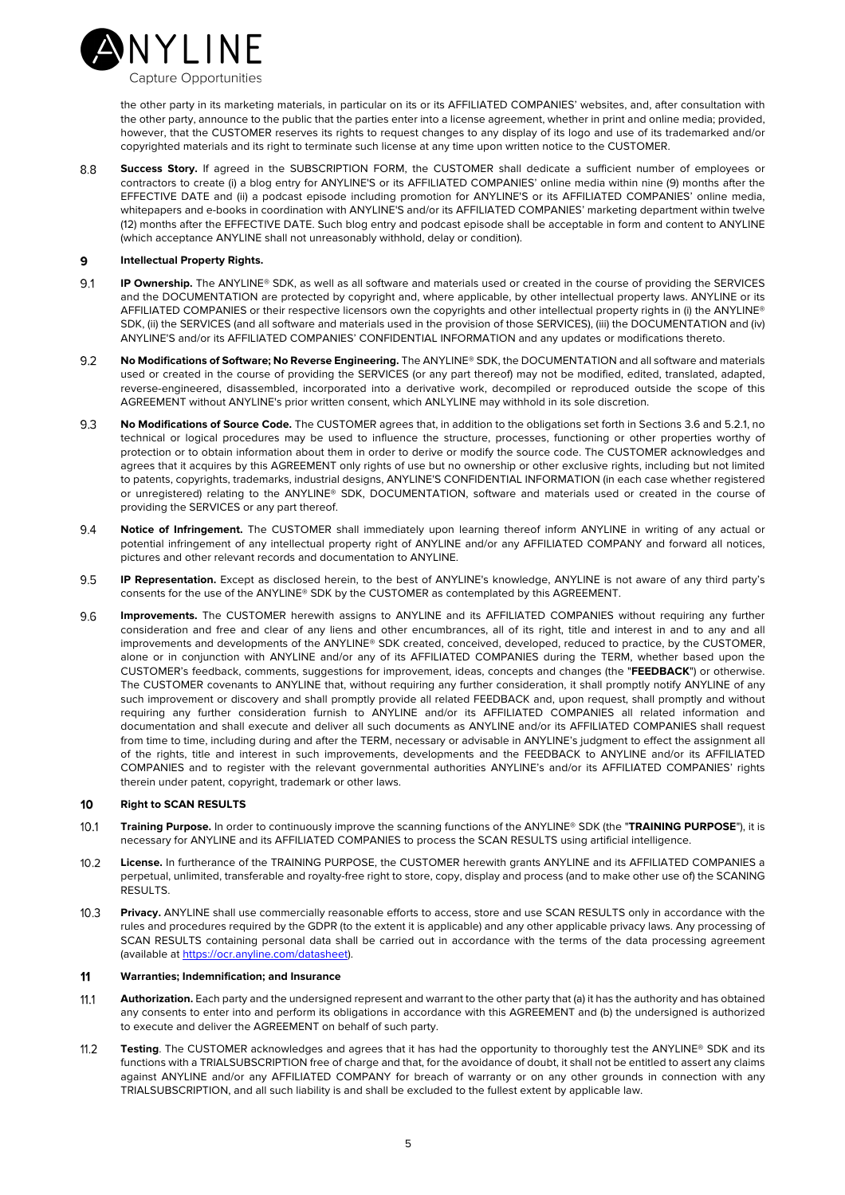

the other party in its marketing materials, in particular on its or its AFFILIATED COMPANIES' websites, and, after consultation with the other party, announce to the public that the parties enter into a license agreement, whether in print and online media; provided, however, that the CUSTOMER reserves its rights to request changes to any display of its logo and use of its trademarked and/or copyrighted materials and its right to terminate such license at any time upon written notice to the CUSTOMER.

 $88$ **Success Story.** If agreed in the SUBSCRIPTION FORM, the CUSTOMER shall dedicate a sufficient number of employees or contractors to create (i) a blog entry for ANYLINE'S or its AFFILIATED COMPANIES' online media within nine (9) months after the EFFECTIVE DATE and (ii) a podcast episode including promotion for ANYLINE'S or its AFFILIATED COMPANIES' online media, whitepapers and e-books in coordination with ANYLINE'S and/or its AFFILIATED COMPANIES' marketing department within twelve (12) months after the EFFECTIVE DATE. Such blog entry and podcast episode shall be acceptable in form and content to ANYLINE (which acceptance ANYLINE shall not unreasonably withhold, delay or condition).

## $\mathbf{Q}$ **Intellectual Property Rights.**

- 9.1 **IP Ownership.** The ANYLINE® SDK, as well as all software and materials used or created in the course of providing the SERVICES and the DOCUMENTATION are protected by copyright and, where applicable, by other intellectual property laws. ANYLINE or its AFFILIATED COMPANIES or their respective licensors own the copyrights and other intellectual property rights in (i) the ANYLINE® SDK, (ii) the SERVICES (and all software and materials used in the provision of those SERVICES), (iii) the DOCUMENTATION and (iv) ANYLINE'S and/or its AFFILIATED COMPANIES' CONFIDENTIAL INFORMATION and any updates or modifications thereto.
- **No Modifications of Software; No Reverse Engineering.** The ANYLINE® SDK, the DOCUMENTATION and all software and materials 9.2 used or created in the course of providing the SERVICES (or any part thereof) may not be modified, edited, translated, adapted, reverse-engineered, disassembled, incorporated into a derivative work, decompiled or reproduced outside the scope of this AGREEMENT without ANYLINE's prior written consent, which ANLYLINE may withhold in its sole discretion.
- **No Modifications of Source Code.** The CUSTOMER agrees that, in addition to the obligations set forth in Sections 3.6 and 5.2.1, no 9.3 technical or logical procedures may be used to influence the structure, processes, functioning or other properties worthy of protection or to obtain information about them in order to derive or modify the source code. The CUSTOMER acknowledges and agrees that it acquires by this AGREEMENT only rights of use but no ownership or other exclusive rights, including but not limited to patents, copyrights, trademarks, industrial designs, ANYLINE'S CONFIDENTIAL INFORMATION (in each case whether registered or unregistered) relating to the ANYLINE® SDK, DOCUMENTATION, software and materials used or created in the course of providing the SERVICES or any part thereof.
- 94 **Notice of Infringement.** The CUSTOMER shall immediately upon learning thereof inform ANYLINE in writing of any actual or potential infringement of any intellectual property right of ANYLINE and/or any AFFILIATED COMPANY and forward all notices, pictures and other relevant records and documentation to ANYLINE.
- 9.5 **IP Representation.** Except as disclosed herein, to the best of ANYLINE's knowledge, ANYLINE is not aware of any third party's consents for the use of the ANYLINE® SDK by the CUSTOMER as contemplated by this AGREEMENT.
- **Improvements.** The CUSTOMER herewith assigns to ANYLINE and its AFFILIATED COMPANIES without requiring any further 9.6 consideration and free and clear of any liens and other encumbrances, all of its right, title and interest in and to any and all improvements and developments of the ANYLINE® SDK created, conceived, developed, reduced to practice, by the CUSTOMER, alone or in conjunction with ANYLINE and/or any of its AFFILIATED COMPANIES during the TERM, whether based upon the CUSTOMER's feedback, comments, suggestions for improvement, ideas, concepts and changes (the "**FEEDBACK**") or otherwise. The CUSTOMER covenants to ANYLINE that, without requiring any further consideration, it shall promptly notify ANYLINE of any such improvement or discovery and shall promptly provide all related FEEDBACK and, upon request, shall promptly and without requiring any further consideration furnish to ANYLINE and/or its AFFILIATED COMPANIES all related information and documentation and shall execute and deliver all such documents as ANYLINE and/or its AFFILIATED COMPANIES shall request from time to time, including during and after the TERM, necessary or advisable in ANYLINE's judgment to effect the assignment all of the rights, title and interest in such improvements, developments and the FEEDBACK to ANYLINE and/or its AFFILIATED COMPANIES and to register with the relevant governmental authorities ANYLINE's and/or its AFFILIATED COMPANIES' rights therein under patent, copyright, trademark or other laws.

#### 10 **Right to SCAN RESULTS**

- $10.1$ **Training Purpose.** In order to continuously improve the scanning functions of the ANYLINE® SDK (the "**TRAINING PURPOSE**"), it is necessary for ANYLINE and its AFFILIATED COMPANIES to process the SCAN RESULTS using artificial intelligence.
- **License.** In furtherance of the TRAINING PURPOSE, the CUSTOMER herewith grants ANYLINE and its AFFILIATED COMPANIES a  $10.2$ perpetual, unlimited, transferable and royalty-free right to store, copy, display and process (and to make other use of) the SCANING RESULTS.
- $10.3$ **Privacy.** ANYLINE shall use commercially reasonable efforts to access, store and use SCAN RESULTS only in accordance with the rules and procedures required by the GDPR (to the extent it is applicable) and any other applicable privacy laws. Any processing of SCAN RESULTS containing personal data shall be carried out in accordance with the terms of the data processing agreement (available at https://ocr.anyline.com/datasheet).

## $11$ **Warranties; Indemnification; and Insurance**

- $11.1$ **Authorization.** Each party and the undersigned represent and warrant to the other party that (a) it has the authority and has obtained any consents to enter into and perform its obligations in accordance with this AGREEMENT and (b) the undersigned is authorized to execute and deliver the AGREEMENT on behalf of such party.
- $11.2$ **Testing**. The CUSTOMER acknowledges and agrees that it has had the opportunity to thoroughly test the ANYLINE® SDK and its functions with a TRIALSUBSCRIPTION free of charge and that, for the avoidance of doubt, it shall not be entitled to assert any claims against ANYLINE and/or any AFFILIATED COMPANY for breach of warranty or on any other grounds in connection with any TRIALSUBSCRIPTION, and all such liability is and shall be excluded to the fullest extent by applicable law.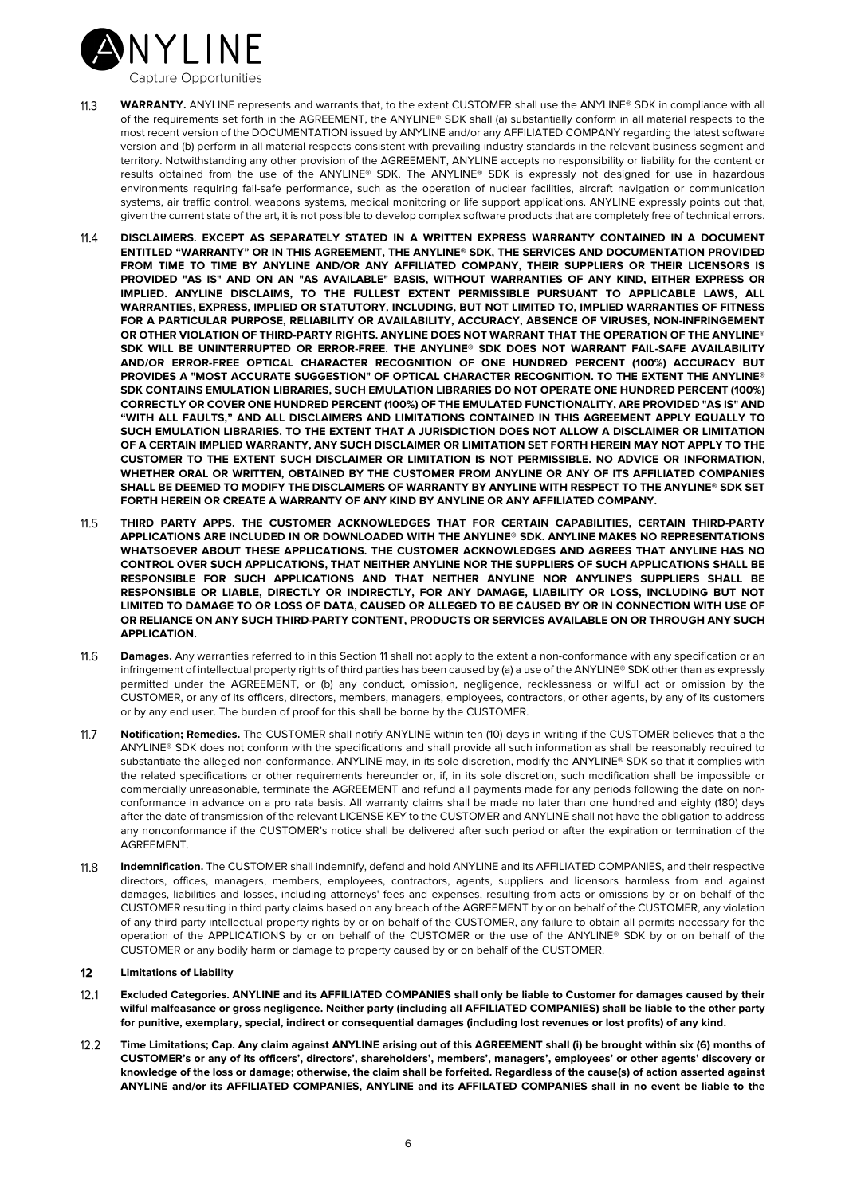

- $11.3$ **WARRANTY.** ANYLINE represents and warrants that, to the extent CUSTOMER shall use the ANYLINE® SDK in compliance with all of the requirements set forth in the AGREEMENT, the ANYLINE® SDK shall (a) substantially conform in all material respects to the most recent version of the DOCUMENTATION issued by ANYLINE and/or any AFFILIATED COMPANY regarding the latest software version and (b) perform in all material respects consistent with prevailing industry standards in the relevant business segment and territory. Notwithstanding any other provision of the AGREEMENT, ANYLINE accepts no responsibility or liability for the content or results obtained from the use of the ANYLINE® SDK. The ANYLINE® SDK is expressly not designed for use in hazardous environments requiring fail-safe performance, such as the operation of nuclear facilities, aircraft navigation or communication systems, air traffic control, weapons systems, medical monitoring or life support applications. ANYLINE expressly points out that, given the current state of the art, it is not possible to develop complex software products that are completely free of technical errors.
- $11.4$ **DISCLAIMERS. EXCEPT AS SEPARATELY STATED IN A WRITTEN EXPRESS WARRANTY CONTAINED IN A DOCUMENT ENTITLED "WARRANTY" OR IN THIS AGREEMENT, THE ANYLINE® SDK, THE SERVICES AND DOCUMENTATION PROVIDED FROM TIME TO TIME BY ANYLINE AND/OR ANY AFFILIATED COMPANY, THEIR SUPPLIERS OR THEIR LICENSORS IS PROVIDED "AS IS" AND ON AN "AS AVAILABLE" BASIS, WITHOUT WARRANTIES OF ANY KIND, EITHER EXPRESS OR IMPLIED. ANYLINE DISCLAIMS, TO THE FULLEST EXTENT PERMISSIBLE PURSUANT TO APPLICABLE LAWS, ALL WARRANTIES, EXPRESS, IMPLIED OR STATUTORY, INCLUDING, BUT NOT LIMITED TO, IMPLIED WARRANTIES OF FITNESS FOR A PARTICULAR PURPOSE, RELIABILITY OR AVAILABILITY, ACCURACY, ABSENCE OF VIRUSES, NON-INFRINGEMENT OR OTHER VIOLATION OF THIRD-PARTY RIGHTS. ANYLINE DOES NOT WARRANT THAT THE OPERATION OF THE ANYLINE® SDK WILL BE UNINTERRUPTED OR ERROR-FREE. THE ANYLINE® SDK DOES NOT WARRANT FAIL-SAFE AVAILABILITY AND/OR ERROR-FREE OPTICAL CHARACTER RECOGNITION OF ONE HUNDRED PERCENT (100%) ACCURACY BUT PROVIDES A "MOST ACCURATE SUGGESTION" OF OPTICAL CHARACTER RECOGNITION. TO THE EXTENT THE ANYLINE® SDK CONTAINS EMULATION LIBRARIES, SUCH EMULATION LIBRARIES DO NOT OPERATE ONE HUNDRED PERCENT (100%) CORRECTLY OR COVER ONE HUNDRED PERCENT (100%) OF THE EMULATED FUNCTIONALITY, ARE PROVIDED "AS IS" AND "WITH ALL FAULTS," AND ALL DISCLAIMERS AND LIMITATIONS CONTAINED IN THIS AGREEMENT APPLY EQUALLY TO SUCH EMULATION LIBRARIES. TO THE EXTENT THAT A JURISDICTION DOES NOT ALLOW A DISCLAIMER OR LIMITATION OF A CERTAIN IMPLIED WARRANTY, ANY SUCH DISCLAIMER OR LIMITATION SET FORTH HEREIN MAY NOT APPLY TO THE CUSTOMER TO THE EXTENT SUCH DISCLAIMER OR LIMITATION IS NOT PERMISSIBLE. NO ADVICE OR INFORMATION, WHETHER ORAL OR WRITTEN, OBTAINED BY THE CUSTOMER FROM ANYLINE OR ANY OF ITS AFFILIATED COMPANIES SHALL BE DEEMED TO MODIFY THE DISCLAIMERS OF WARRANTY BY ANYLINE WITH RESPECT TO THE ANYLINE® SDK SET FORTH HEREIN OR CREATE A WARRANTY OF ANY KIND BY ANYLINE OR ANY AFFILIATED COMPANY.**
- **THIRD PARTY APPS. THE CUSTOMER ACKNOWLEDGES THAT FOR CERTAIN CAPABILITIES, CERTAIN THIRD-PARTY**   $11.5$ **APPLICATIONS ARE INCLUDED IN OR DOWNLOADED WITH THE ANYLINE® SDK. ANYLINE MAKES NO REPRESENTATIONS WHATSOEVER ABOUT THESE APPLICATIONS. THE CUSTOMER ACKNOWLEDGES AND AGREES THAT ANYLINE HAS NO CONTROL OVER SUCH APPLICATIONS, THAT NEITHER ANYLINE NOR THE SUPPLIERS OF SUCH APPLICATIONS SHALL BE RESPONSIBLE FOR SUCH APPLICATIONS AND THAT NEITHER ANYLINE NOR ANYLINE'S SUPPLIERS SHALL BE RESPONSIBLE OR LIABLE, DIRECTLY OR INDIRECTLY, FOR ANY DAMAGE, LIABILITY OR LOSS, INCLUDING BUT NOT LIMITED TO DAMAGE TO OR LOSS OF DATA, CAUSED OR ALLEGED TO BE CAUSED BY OR IN CONNECTION WITH USE OF OR RELIANCE ON ANY SUCH THIRD-PARTY CONTENT, PRODUCTS OR SERVICES AVAILABLE ON OR THROUGH ANY SUCH APPLICATION.**
- 11.6 **Damages.** Any warranties referred to in this Section 11 shall not apply to the extent a non-conformance with any specification or an infringement of intellectual property rights of third parties has been caused by (a) a use of the ANYLINE® SDK other than as expressly permitted under the AGREEMENT, or (b) any conduct, omission, negligence, recklessness or wilful act or omission by the CUSTOMER, or any of its officers, directors, members, managers, employees, contractors, or other agents, by any of its customers or by any end user. The burden of proof for this shall be borne by the CUSTOMER.
- $11.7$ **Notification; Remedies.** The CUSTOMER shall notify ANYLINE within ten (10) days in writing if the CUSTOMER believes that a the ANYLINE® SDK does not conform with the specifications and shall provide all such information as shall be reasonably required to substantiate the alleged non-conformance. ANYLINE may, in its sole discretion, modify the ANYLINE® SDK so that it complies with the related specifications or other requirements hereunder or, if, in its sole discretion, such modification shall be impossible or commercially unreasonable, terminate the AGREEMENT and refund all payments made for any periods following the date on nonconformance in advance on a pro rata basis. All warranty claims shall be made no later than one hundred and eighty (180) days after the date of transmission of the relevant LICENSE KEY to the CUSTOMER and ANYLINE shall not have the obligation to address any nonconformance if the CUSTOMER's notice shall be delivered after such period or after the expiration or termination of the AGREEMENT.
- 11.8 **Indemnification.** The CUSTOMER shall indemnify, defend and hold ANYLINE and its AFFILIATED COMPANIES, and their respective directors, offices, managers, members, employees, contractors, agents, suppliers and licensors harmless from and against damages, liabilities and losses, including attorneys' fees and expenses, resulting from acts or omissions by or on behalf of the CUSTOMER resulting in third party claims based on any breach of the AGREEMENT by or on behalf of the CUSTOMER, any violation of any third party intellectual property rights by or on behalf of the CUSTOMER, any failure to obtain all permits necessary for the operation of the APPLICATIONS by or on behalf of the CUSTOMER or the use of the ANYLINE® SDK by or on behalf of the CUSTOMER or any bodily harm or damage to property caused by or on behalf of the CUSTOMER.

## $12$ **Limitations of Liability**

- $12.1$ **Excluded Categories. ANYLINE and its AFFILIATED COMPANIES shall only be liable to Customer for damages caused by their wilful malfeasance or gross negligence. Neither party (including all AFFILIATED COMPANIES) shall be liable to the other party for punitive, exemplary, special, indirect or consequential damages (including lost revenues or lost profits) of any kind.**
- $12.2$ **Time Limitations; Cap. Any claim against ANYLINE arising out of this AGREEMENT shall (i) be brought within six (6) months of CUSTOMER's or any of its officers', directors', shareholders', members', managers', employees' or other agents' discovery or knowledge of the loss or damage; otherwise, the claim shall be forfeited. Regardless of the cause(s) of action asserted against ANYLINE and/or its AFFILIATED COMPANIES, ANYLINE and its AFFILATED COMPANIES shall in no event be liable to the**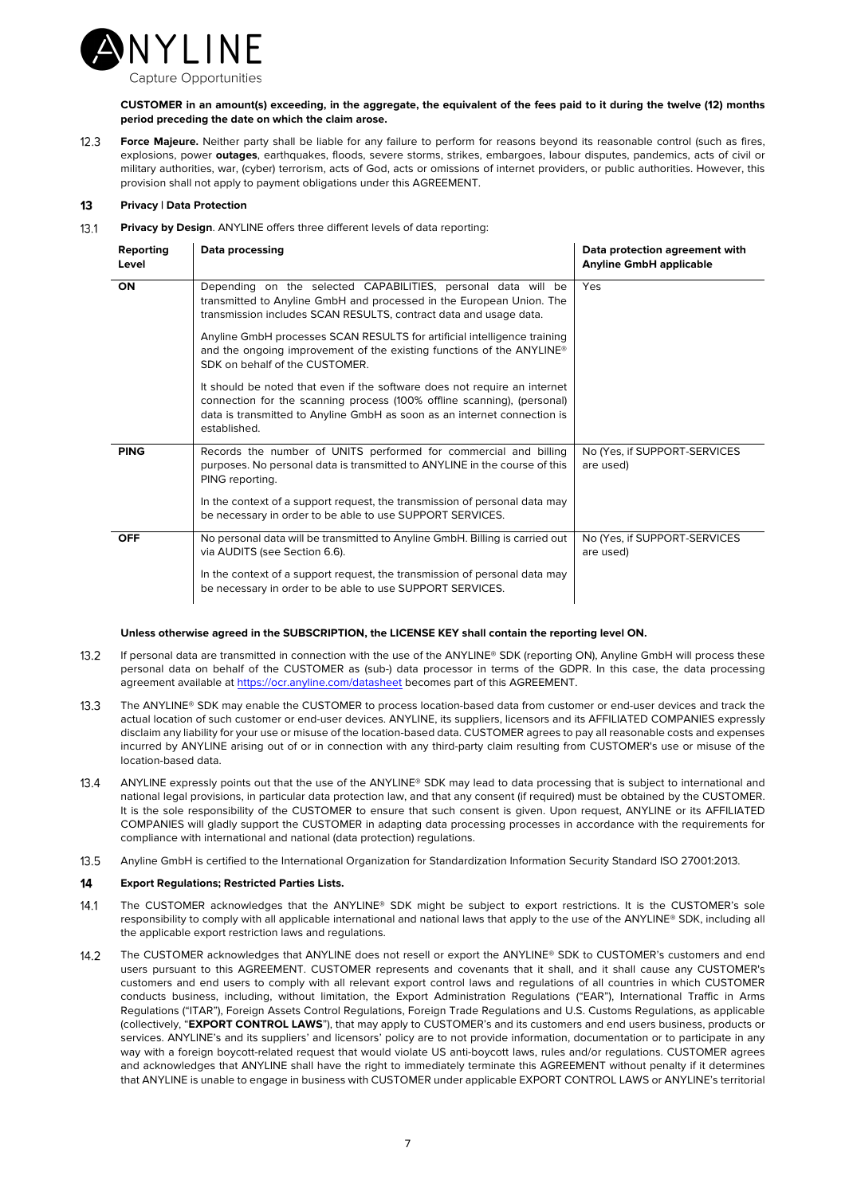

**CUSTOMER in an amount(s) exceeding, in the aggregate, the equivalent of the fees paid to it during the twelve (12) months period preceding the date on which the claim arose.**

 $12.3$ **Force Majeure.** Neither party shall be liable for any failure to perform for reasons beyond its reasonable control (such as fires, explosions, power **outages**, earthquakes, floods, severe storms, strikes, embargoes, labour disputes, pandemics, acts of civil or military authorities, war, (cyber) terrorism, acts of God, acts or omissions of internet providers, or public authorities. However, this provision shall not apply to payment obligations under this AGREEMENT.

## 13 **Privacy | Data Protection**

 $13.1$ **Privacy by Design**. ANYLINE offers three different levels of data reporting:

| Reporting<br>Level | Data processing                                                                                                                                                                                                                                  | Data protection agreement with<br><b>Anyline GmbH applicable</b> |
|--------------------|--------------------------------------------------------------------------------------------------------------------------------------------------------------------------------------------------------------------------------------------------|------------------------------------------------------------------|
| ON                 | Depending on the selected CAPABILITIES, personal data will be<br>transmitted to Anyline GmbH and processed in the European Union. The<br>transmission includes SCAN RESULTS, contract data and usage data.                                       | Yes                                                              |
|                    | Anyline GmbH processes SCAN RESULTS for artificial intelligence training<br>and the ongoing improvement of the existing functions of the ANYLINE®<br>SDK on behalf of the CUSTOMER.                                                              |                                                                  |
|                    | It should be noted that even if the software does not require an internet<br>connection for the scanning process (100% offline scanning), (personal)<br>data is transmitted to Anyline GmbH as soon as an internet connection is<br>established. |                                                                  |
| <b>PING</b>        | Records the number of UNITS performed for commercial and billing<br>purposes. No personal data is transmitted to ANYLINE in the course of this<br>PING reporting.                                                                                | No (Yes, if SUPPORT-SERVICES<br>are used)                        |
|                    | In the context of a support request, the transmission of personal data may<br>be necessary in order to be able to use SUPPORT SERVICES.                                                                                                          |                                                                  |
| <b>OFF</b>         | No personal data will be transmitted to Anyline GmbH. Billing is carried out<br>via AUDITS (see Section 6.6).                                                                                                                                    | No (Yes, if SUPPORT-SERVICES<br>are used)                        |
|                    | In the context of a support request, the transmission of personal data may<br>be necessary in order to be able to use SUPPORT SERVICES.                                                                                                          |                                                                  |

## **Unless otherwise agreed in the SUBSCRIPTION, the LICENSE KEY shall contain the reporting level ON.**

- $13.2$ If personal data are transmitted in connection with the use of the ANYLINE® SDK (reporting ON), Anyline GmbH will process these personal data on behalf of the CUSTOMER as (sub-) data processor in terms of the GDPR. In this case, the data processing agreement available at https://ocr.anyline.com/datasheet becomes part of this AGREEMENT.
- $13.3$ The ANYLINE® SDK may enable the CUSTOMER to process location-based data from customer or end-user devices and track the actual location of such customer or end-user devices. ANYLINE, its suppliers, licensors and its AFFILIATED COMPANIES expressly disclaim any liability for your use or misuse of the location-based data. CUSTOMER agrees to pay all reasonable costs and expenses incurred by ANYLINE arising out of or in connection with any third-party claim resulting from CUSTOMER's use or misuse of the location-based data.
- ANYLINE expressly points out that the use of the ANYLINE® SDK may lead to data processing that is subject to international and  $13.4$ national legal provisions, in particular data protection law, and that any consent (if required) must be obtained by the CUSTOMER. It is the sole responsibility of the CUSTOMER to ensure that such consent is given. Upon request, ANYLINE or its AFFILIATED COMPANIES will gladly support the CUSTOMER in adapting data processing processes in accordance with the requirements for compliance with international and national (data protection) regulations.
- Anyline GmbH is certified to the International Organization for Standardization Information Security Standard ISO 27001:2013.  $13.5$

## $14$ **Export Regulations; Restricted Parties Lists.**

- $14.1$ The CUSTOMER acknowledges that the ANYLINE® SDK might be subject to export restrictions. It is the CUSTOMER's sole responsibility to comply with all applicable international and national laws that apply to the use of the ANYLINE® SDK, including all the applicable export restriction laws and regulations.
- $14.2$ The CUSTOMER acknowledges that ANYLINE does not resell or export the ANYLINE® SDK to CUSTOMER's customers and end users pursuant to this AGREEMENT. CUSTOMER represents and covenants that it shall, and it shall cause any CUSTOMER's customers and end users to comply with all relevant export control laws and regulations of all countries in which CUSTOMER conducts business, including, without limitation, the Export Administration Regulations ("EAR"), International Traffic in Arms Regulations ("ITAR"), Foreign Assets Control Regulations, Foreign Trade Regulations and U.S. Customs Regulations, as applicable (collectively, "**EXPORT CONTROL LAWS**"), that may apply to CUSTOMER's and its customers and end users business, products or services. ANYLINE's and its suppliers' and licensors' policy are to not provide information, documentation or to participate in any way with a foreign boycott-related request that would violate US anti-boycott laws, rules and/or requiations. CUSTOMER agrees and acknowledges that ANYLINE shall have the right to immediately terminate this AGREEMENT without penalty if it determines that ANYLINE is unable to engage in business with CUSTOMER under applicable EXPORT CONTROL LAWS or ANYLINE's territorial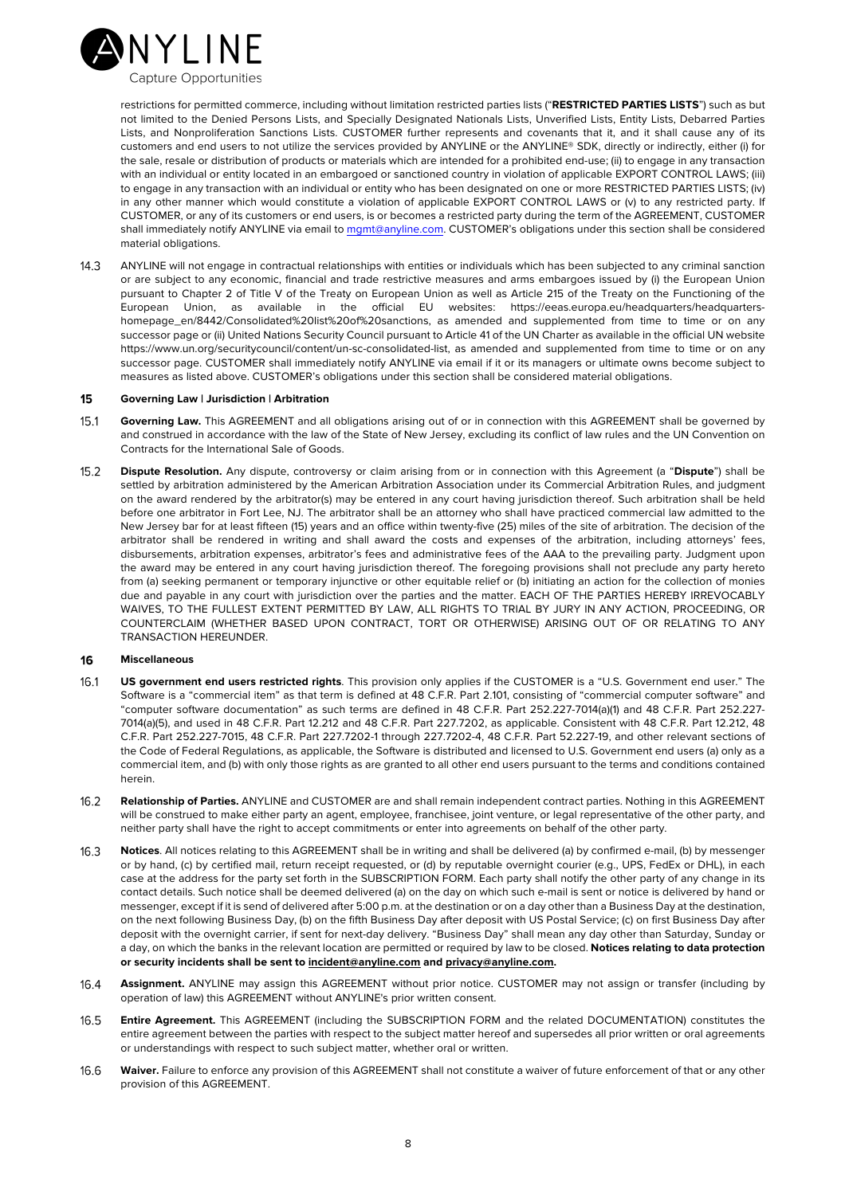

restrictions for permitted commerce, including without limitation restricted parties lists ("**RESTRICTED PARTIES LISTS**") such as but not limited to the Denied Persons Lists, and Specially Designated Nationals Lists, Unverified Lists, Entity Lists, Debarred Parties Lists, and Nonproliferation Sanctions Lists. CUSTOMER further represents and covenants that it, and it shall cause any of its customers and end users to not utilize the services provided by ANYLINE or the ANYLINE® SDK, directly or indirectly, either (i) for the sale, resale or distribution of products or materials which are intended for a prohibited end-use; (ii) to engage in any transaction with an individual or entity located in an embargoed or sanctioned country in violation of applicable EXPORT CONTROL LAWS; (iii) to engage in any transaction with an individual or entity who has been designated on one or more RESTRICTED PARTIES LISTS; (iv) in any other manner which would constitute a violation of applicable EXPORT CONTROL LAWS or (v) to any restricted party. If CUSTOMER, or any of its customers or end users, is or becomes a restricted party during the term of the AGREEMENT, CUSTOMER shall immediately notify ANYLINE via email to mant@anyline.com. CUSTOMER's obligations under this section shall be considered material obligations.

 $14.3$ ANYLINE will not engage in contractual relationships with entities or individuals which has been subjected to any criminal sanction or are subject to any economic, financial and trade restrictive measures and arms embargoes issued by (i) the European Union pursuant to Chapter 2 of Title V of the Treaty on European Union as well as Article 215 of the Treaty on the Functioning of the European Union, as available in the official EU websites: https://eeas.europa.eu/headquarters/headquartershomepage\_en/8442/Consolidated%20list%20of%20sanctions, as amended and supplemented from time to time or on any successor page or (ii) United Nations Security Council pursuant to Article 41 of the UN Charter as available in the official UN website https://www.un.org/securitycouncil/content/un-sc-consolidated-list, as amended and supplemented from time to time or on any successor page. CUSTOMER shall immediately notify ANYLINE via email if it or its managers or ultimate owns become subject to measures as listed above. CUSTOMER's obligations under this section shall be considered material obligations.

#### 15 **Governing Law | Jurisdiction | Arbitration**

- $15.1$ **Governing Law.** This AGREEMENT and all obligations arising out of or in connection with this AGREEMENT shall be governed by and construed in accordance with the law of the State of New Jersey, excluding its conflict of law rules and the UN Convention on Contracts for the International Sale of Goods.
- $15.2$ **Dispute Resolution.** Any dispute, controversy or claim arising from or in connection with this Agreement (a "**Dispute**") shall be settled by arbitration administered by the American Arbitration Association under its Commercial Arbitration Rules, and judgment on the award rendered by the arbitrator(s) may be entered in any court having jurisdiction thereof. Such arbitration shall be held before one arbitrator in Fort Lee, NJ. The arbitrator shall be an attorney who shall have practiced commercial law admitted to the New Jersey bar for at least fifteen (15) years and an office within twenty-five (25) miles of the site of arbitration. The decision of the arbitrator shall be rendered in writing and shall award the costs and expenses of the arbitration, including attorneys' fees, disbursements, arbitration expenses, arbitrator's fees and administrative fees of the AAA to the prevailing party. Judgment upon the award may be entered in any court having jurisdiction thereof. The foregoing provisions shall not preclude any party hereto from (a) seeking permanent or temporary injunctive or other equitable relief or (b) initiating an action for the collection of monies due and payable in any court with jurisdiction over the parties and the matter. EACH OF THE PARTIES HEREBY IRREVOCABLY WAIVES, TO THE FULLEST EXTENT PERMITTED BY LAW, ALL RIGHTS TO TRIAL BY JURY IN ANY ACTION, PROCEEDING, OR COUNTERCLAIM (WHETHER BASED UPON CONTRACT, TORT OR OTHERWISE) ARISING OUT OF OR RELATING TO ANY TRANSACTION HEREUNDER.

## 16 **Miscellaneous**

- $16.1$ **US government end users restricted rights**. This provision only applies if the CUSTOMER is a "U.S. Government end user." The Software is a "commercial item" as that term is defined at 48 C.F.R. Part 2.101, consisting of "commercial computer software" and "computer software documentation" as such terms are defined in 48 C.F.R. Part 252.227-7014(a)(1) and 48 C.F.R. Part 252.227- 7014(a)(5), and used in 48 C.F.R. Part 12.212 and 48 C.F.R. Part 227.7202, as applicable. Consistent with 48 C.F.R. Part 12.212, 48 C.F.R. Part 252.227-7015, 48 C.F.R. Part 227.7202-1 through 227.7202-4, 48 C.F.R. Part 52.227-19, and other relevant sections of the Code of Federal Regulations, as applicable, the Software is distributed and licensed to U.S. Government end users (a) only as a commercial item, and (b) with only those rights as are granted to all other end users pursuant to the terms and conditions contained herein.
- $16.2$ **Relationship of Parties.** ANYLINE and CUSTOMER are and shall remain independent contract parties. Nothing in this AGREEMENT will be construed to make either party an agent, employee, franchisee, joint venture, or legal representative of the other party, and neither party shall have the right to accept commitments or enter into agreements on behalf of the other party.
- $16.3$ **Notices**. All notices relating to this AGREEMENT shall be in writing and shall be delivered (a) by confirmed e-mail, (b) by messenger or by hand, (c) by certified mail, return receipt requested, or (d) by reputable overnight courier (e.g., UPS, FedEx or DHL), in each case at the address for the party set forth in the SUBSCRIPTION FORM. Each party shall notify the other party of any change in its contact details. Such notice shall be deemed delivered (a) on the day on which such e-mail is sent or notice is delivered by hand or messenger, except if it is send of delivered after 5:00 p.m. at the destination or on a day other than a Business Day at the destination, on the next following Business Day, (b) on the fifth Business Day after deposit with US Postal Service; (c) on first Business Day after deposit with the overnight carrier, if sent for next-day delivery. "Business Day" shall mean any day other than Saturday, Sunday or a day, on which the banks in the relevant location are permitted or required by law to be closed. **Notices relating to data protection or security incidents shall be sent to incident@anyline.com and privacy@anyline.com.**
- **Assignment.** ANYLINE may assign this AGREEMENT without prior notice. CUSTOMER may not assign or transfer (including by  $16.4$ operation of law) this AGREEMENT without ANYLINE's prior written consent.
- **Entire Agreement.** This AGREEMENT (including the SUBSCRIPTION FORM and the related DOCUMENTATION) constitutes the  $16.5$ entire agreement between the parties with respect to the subject matter hereof and supersedes all prior written or oral agreements or understandings with respect to such subject matter, whether oral or written.
- **Waiver.** Failure to enforce any provision of this AGREEMENT shall not constitute a waiver of future enforcement of that or any other  $16.6$ provision of this AGREEMENT.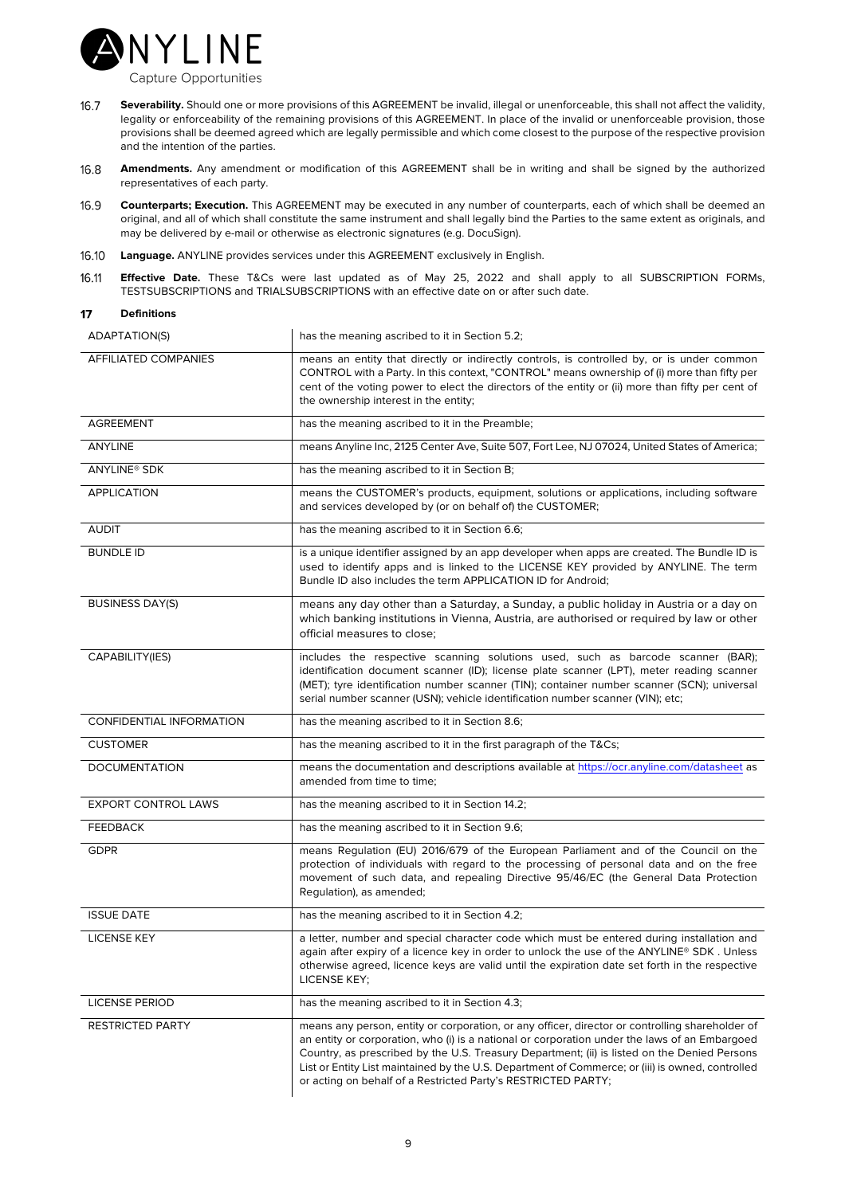

- 16.7 **Severability.** Should one or more provisions of this AGREEMENT be invalid, illegal or unenforceable, this shall not affect the validity, legality or enforceability of the remaining provisions of this AGREEMENT. In place of the invalid or unenforceable provision, those provisions shall be deemed agreed which are legally permissible and which come closest to the purpose of the respective provision and the intention of the parties.
- $16.8$ **Amendments.** Any amendment or modification of this AGREEMENT shall be in writing and shall be signed by the authorized representatives of each party.
- 16.9 **Counterparts; Execution.** This AGREEMENT may be executed in any number of counterparts, each of which shall be deemed an original, and all of which shall constitute the same instrument and shall legally bind the Parties to the same extent as originals, and may be delivered by e-mail or otherwise as electronic signatures (e.g. DocuSign).
- 16.10 **Language.** ANYLINE provides services under this AGREEMENT exclusively in English.
- **Effective Date.** These T&Cs were last updated as of May 25, 2022 and shall apply to all SUBSCRIPTION FORMs, 16.11 TESTSUBSCRIPTIONS and TRIALSUBSCRIPTIONS with an effective date on or after such date.

| ADAPTATION(S)               | has the meaning ascribed to it in Section 5.2;                                                                                                                                                                                                                                                                                                                                                                                                                        |  |  |
|-----------------------------|-----------------------------------------------------------------------------------------------------------------------------------------------------------------------------------------------------------------------------------------------------------------------------------------------------------------------------------------------------------------------------------------------------------------------------------------------------------------------|--|--|
| <b>AFFILIATED COMPANIES</b> | means an entity that directly or indirectly controls, is controlled by, or is under common<br>CONTROL with a Party. In this context, "CONTROL" means ownership of (i) more than fifty per<br>cent of the voting power to elect the directors of the entity or (ii) more than fifty per cent of<br>the ownership interest in the entity;                                                                                                                               |  |  |
| <b>AGREEMENT</b>            | has the meaning ascribed to it in the Preamble;                                                                                                                                                                                                                                                                                                                                                                                                                       |  |  |
| ANYLINE                     | means Anyline Inc, 2125 Center Ave, Suite 507, Fort Lee, NJ 07024, United States of America;                                                                                                                                                                                                                                                                                                                                                                          |  |  |
| ANYLINE <sup>®</sup> SDK    | has the meaning ascribed to it in Section B;                                                                                                                                                                                                                                                                                                                                                                                                                          |  |  |
| <b>APPLICATION</b>          | means the CUSTOMER's products, equipment, solutions or applications, including software<br>and services developed by (or on behalf of) the CUSTOMER;                                                                                                                                                                                                                                                                                                                  |  |  |
| <b>AUDIT</b>                | has the meaning ascribed to it in Section 6.6;                                                                                                                                                                                                                                                                                                                                                                                                                        |  |  |
| <b>BUNDLE ID</b>            | is a unique identifier assigned by an app developer when apps are created. The Bundle ID is<br>used to identify apps and is linked to the LICENSE KEY provided by ANYLINE. The term<br>Bundle ID also includes the term APPLICATION ID for Android;                                                                                                                                                                                                                   |  |  |
| <b>BUSINESS DAY(S)</b>      | means any day other than a Saturday, a Sunday, a public holiday in Austria or a day on<br>which banking institutions in Vienna, Austria, are authorised or required by law or other<br>official measures to close;                                                                                                                                                                                                                                                    |  |  |
| CAPABILITY(IES)             | includes the respective scanning solutions used, such as barcode scanner (BAR);<br>identification document scanner (ID); license plate scanner (LPT), meter reading scanner<br>(MET); tyre identification number scanner (TIN); container number scanner (SCN); universal<br>serial number scanner (USN); vehicle identification number scanner (VIN); etc;                                                                                                           |  |  |
| CONFIDENTIAL INFORMATION    | has the meaning ascribed to it in Section 8.6;                                                                                                                                                                                                                                                                                                                                                                                                                        |  |  |
| <b>CUSTOMER</b>             | has the meaning ascribed to it in the first paragraph of the T&Cs                                                                                                                                                                                                                                                                                                                                                                                                     |  |  |
| <b>DOCUMENTATION</b>        | means the documentation and descriptions available at https://ocr.anyline.com/datasheet as<br>amended from time to time;                                                                                                                                                                                                                                                                                                                                              |  |  |
| <b>EXPORT CONTROL LAWS</b>  | has the meaning ascribed to it in Section 14.2;                                                                                                                                                                                                                                                                                                                                                                                                                       |  |  |
| <b>FEEDBACK</b>             | has the meaning ascribed to it in Section 9.6;                                                                                                                                                                                                                                                                                                                                                                                                                        |  |  |
| <b>GDPR</b>                 | means Regulation (EU) 2016/679 of the European Parliament and of the Council on the<br>protection of individuals with regard to the processing of personal data and on the free<br>movement of such data, and repealing Directive 95/46/EC (the General Data Protection<br>Regulation), as amended;                                                                                                                                                                   |  |  |
| <b>ISSUE DATE</b>           | has the meaning ascribed to it in Section 4.2;                                                                                                                                                                                                                                                                                                                                                                                                                        |  |  |
| <b>LICENSE KEY</b>          | a letter, number and special character code which must be entered during installation and<br>again after expiry of a licence key in order to unlock the use of the ANYLINE® SDK. Unless<br>otherwise agreed, licence keys are valid until the expiration date set forth in the respective<br>LICENSE KEY;                                                                                                                                                             |  |  |
| <b>LICENSE PERIOD</b>       | has the meaning ascribed to it in Section 4.3;                                                                                                                                                                                                                                                                                                                                                                                                                        |  |  |
| <b>RESTRICTED PARTY</b>     | means any person, entity or corporation, or any officer, director or controlling shareholder of<br>an entity or corporation, who (i) is a national or corporation under the laws of an Embargoed<br>Country, as prescribed by the U.S. Treasury Department; (ii) is listed on the Denied Persons<br>List or Entity List maintained by the U.S. Department of Commerce; or (iii) is owned, controlled<br>or acting on behalf of a Restricted Party's RESTRICTED PARTY; |  |  |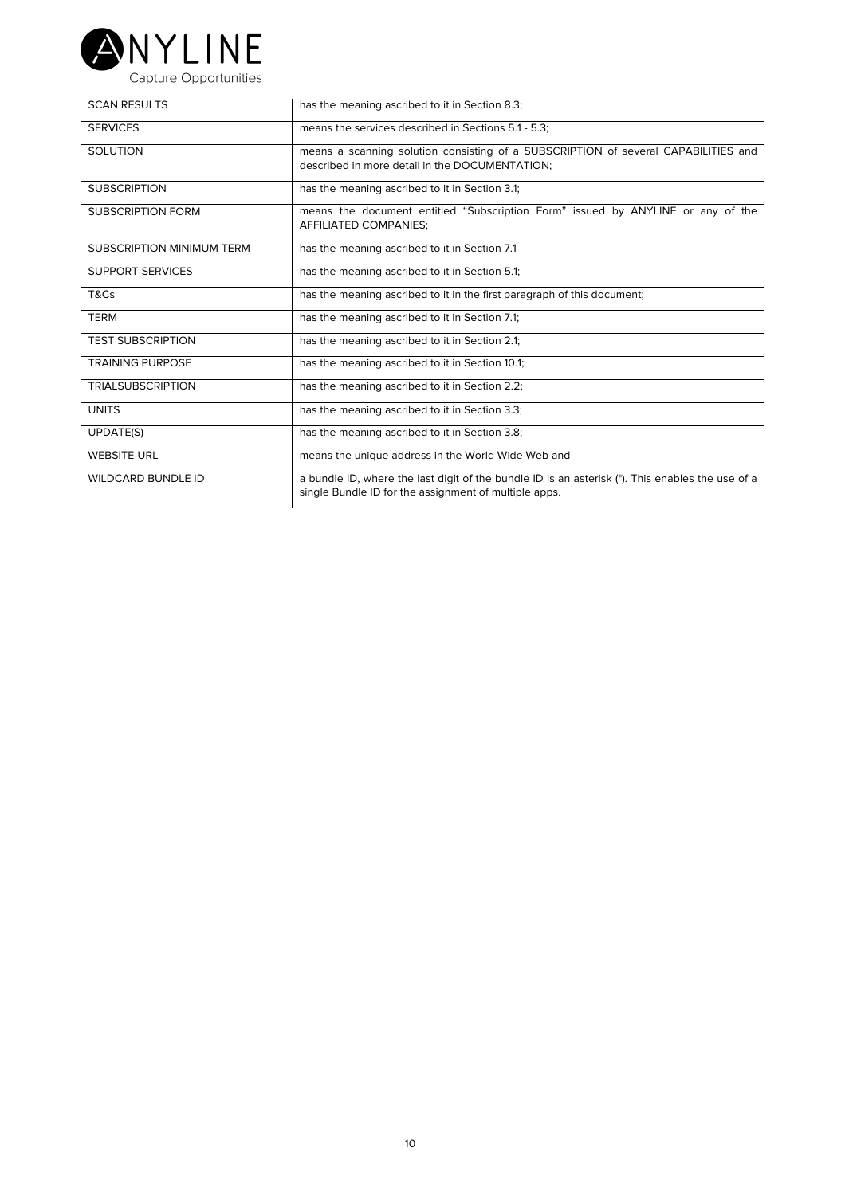

| <b>SCAN RESULTS</b>              | has the meaning ascribed to it in Section 8.3;                                                                                                            |
|----------------------------------|-----------------------------------------------------------------------------------------------------------------------------------------------------------|
| <b>SERVICES</b>                  | means the services described in Sections 5.1 - 5.3:                                                                                                       |
| <b>SOLUTION</b>                  | means a scanning solution consisting of a SUBSCRIPTION of several CAPABILITIES and<br>described in more detail in the DOCUMENTATION:                      |
| <b>SUBSCRIPTION</b>              | has the meaning ascribed to it in Section 3.1;                                                                                                            |
| <b>SUBSCRIPTION FORM</b>         | means the document entitled "Subscription Form" issued by ANYLINE or any of the<br>AFFILIATED COMPANIES:                                                  |
| <b>SUBSCRIPTION MINIMUM TERM</b> | has the meaning ascribed to it in Section 7.1                                                                                                             |
| SUPPORT-SERVICES                 | has the meaning ascribed to it in Section 5.1;                                                                                                            |
| T&Cs                             | has the meaning ascribed to it in the first paragraph of this document;                                                                                   |
| <b>TERM</b>                      | has the meaning ascribed to it in Section 7.1;                                                                                                            |
| <b>TEST SUBSCRIPTION</b>         | has the meaning ascribed to it in Section 2.1;                                                                                                            |
| <b>TRAINING PURPOSE</b>          | has the meaning ascribed to it in Section 10.1;                                                                                                           |
| <b>TRIALSUBSCRIPTION</b>         | has the meaning ascribed to it in Section 2.2;                                                                                                            |
| <b>UNITS</b>                     | has the meaning ascribed to it in Section 3.3;                                                                                                            |
| <b>UPDATE(S)</b>                 | has the meaning ascribed to it in Section 3.8;                                                                                                            |
| <b>WEBSITE-URL</b>               | means the unique address in the World Wide Web and                                                                                                        |
| <b>WILDCARD BUNDLE ID</b>        | a bundle ID, where the last digit of the bundle ID is an asterisk (*). This enables the use of a<br>single Bundle ID for the assignment of multiple apps. |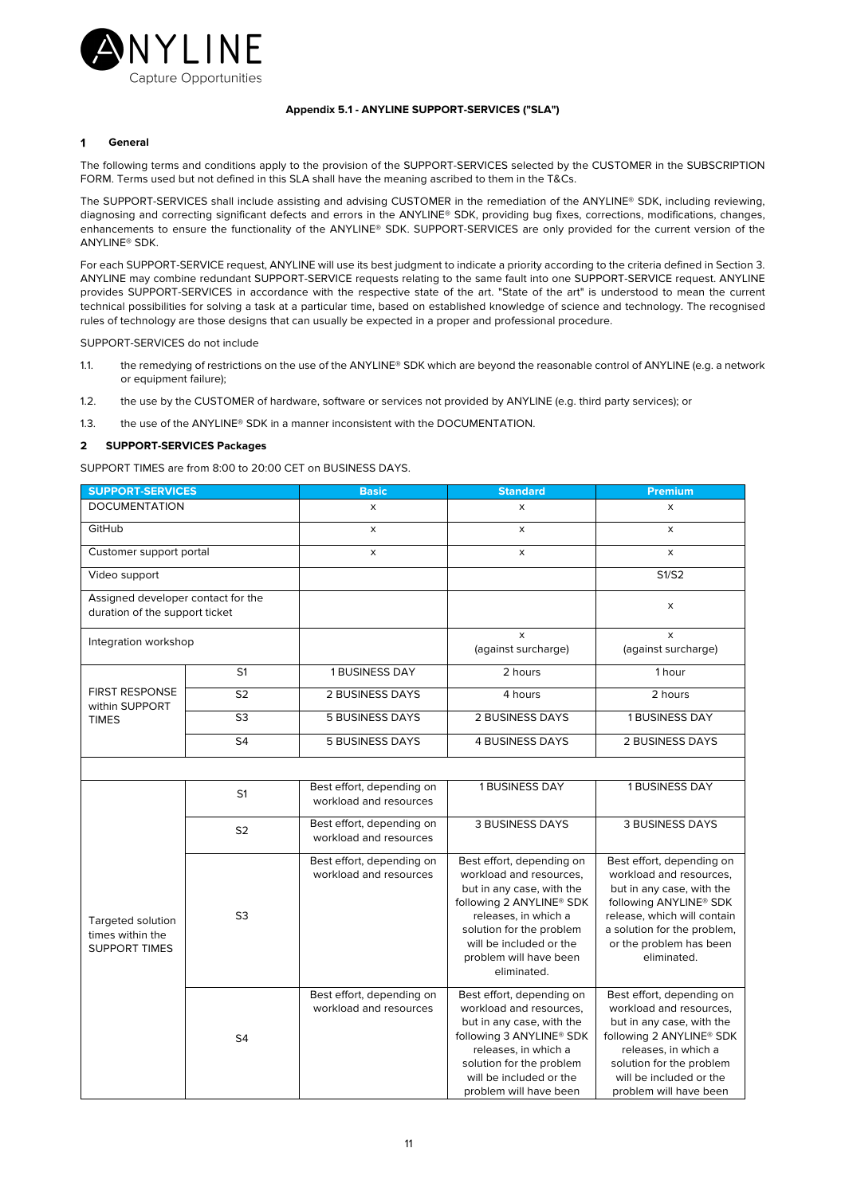

## **Appendix 5.1 - ANYLINE SUPPORT-SERVICES ("SLA")**

## $\ddot{\mathbf{1}}$ **General**

The following terms and conditions apply to the provision of the SUPPORT-SERVICES selected by the CUSTOMER in the SUBSCRIPTION FORM. Terms used but not defined in this SLA shall have the meaning ascribed to them in the T&Cs.

The SUPPORT-SERVICES shall include assisting and advising CUSTOMER in the remediation of the ANYLINE® SDK, including reviewing, diagnosing and correcting significant defects and errors in the ANYLINE® SDK, providing bug fixes, corrections, modifications, changes, enhancements to ensure the functionality of the ANYLINE® SDK. SUPPORT-SERVICES are only provided for the current version of the ANYLINE® SDK.

For each SUPPORT-SERVICE request, ANYLINE will use its best judgment to indicate a priority according to the criteria defined in Section 3. ANYLINE may combine redundant SUPPORT-SERVICE requests relating to the same fault into one SUPPORT-SERVICE request. ANYLINE provides SUPPORT-SERVICES in accordance with the respective state of the art. "State of the art" is understood to mean the current technical possibilities for solving a task at a particular time, based on established knowledge of science and technology. The recognised rules of technology are those designs that can usually be expected in a proper and professional procedure.

SUPPORT-SERVICES do not include

- 1.1. the remedying of restrictions on the use of the ANYLINE® SDK which are beyond the reasonable control of ANYLINE (e.g. a network or equipment failure);
- 1.2. the use by the CUSTOMER of hardware, software or services not provided by ANYLINE (e.g. third party services); or
- 1.3. the use of the ANYLINE® SDK in a manner inconsistent with the DOCUMENTATION.

## **2 SUPPORT-SERVICES Packages**

SUPPORT TIMES are from 8:00 to 20:00 CET on BUSINESS DAYS.

| <b>SUPPORT-SERVICES</b>                                              |                | <b>Basic</b>          | <b>Standard</b>          | <b>Premium</b>           |
|----------------------------------------------------------------------|----------------|-----------------------|--------------------------|--------------------------|
| <b>DOCUMENTATION</b>                                                 |                | X                     | X                        | X                        |
| GitHub                                                               |                | X                     | X                        | X                        |
| Customer support portal                                              |                | X                     | X                        | X                        |
| Video support                                                        |                |                       |                          | S1/S2                    |
| Assigned developer contact for the<br>duration of the support ticket |                |                       |                          | x                        |
| Integration workshop                                                 |                |                       | X<br>(against surcharge) | x<br>(against surcharge) |
| <b>FIRST RESPONSE</b><br>within SUPPORT<br><b>TIMES</b>              | S <sub>1</sub> | <b>1 BUSINESS DAY</b> | 2 hours                  | 1 hour                   |
|                                                                      | S <sub>2</sub> | 2 BUSINESS DAYS       | 4 hours                  | 2 hours                  |
|                                                                      | S <sub>3</sub> | 5 BUSINESS DAYS       | 2 BUSINESS DAYS          | <b>1 BUSINESS DAY</b>    |
|                                                                      | S <sub>4</sub> | 5 BUSINESS DAYS       | 4 BUSINESS DAYS          | 2 BUSINESS DAYS          |
|                                                                      |                |                       |                          |                          |

| Targeted solution<br>times within the<br><b>SUPPORT TIMES</b> | S <sub>1</sub> | Best effort, depending on<br>workload and resources | <b>1 BUSINESS DAY</b>                                                                                                                                                                                                                             | <b>1 BUSINESS DAY</b>                                                                                                                                                                                                              |
|---------------------------------------------------------------|----------------|-----------------------------------------------------|---------------------------------------------------------------------------------------------------------------------------------------------------------------------------------------------------------------------------------------------------|------------------------------------------------------------------------------------------------------------------------------------------------------------------------------------------------------------------------------------|
|                                                               | S <sub>2</sub> | Best effort, depending on<br>workload and resources | <b>3 BUSINESS DAYS</b>                                                                                                                                                                                                                            | <b>3 BUSINESS DAYS</b>                                                                                                                                                                                                             |
|                                                               | S <sub>3</sub> | Best effort, depending on<br>workload and resources | Best effort, depending on<br>workload and resources,<br>but in any case, with the<br>following 2 ANYLINE <sup>®</sup> SDK<br>releases, in which a<br>solution for the problem<br>will be included or the<br>problem will have been<br>eliminated. | Best effort, depending on<br>workload and resources,<br>but in any case, with the<br>following ANYLINE <sup>®</sup> SDK<br>release, which will contain<br>a solution for the problem,<br>or the problem has been<br>eliminated.    |
|                                                               | S <sub>4</sub> | Best effort, depending on<br>workload and resources | Best effort, depending on<br>workload and resources,<br>but in any case, with the<br>following 3 ANYLINE <sup>®</sup> SDK<br>releases, in which a<br>solution for the problem<br>will be included or the<br>problem will have been                | Best effort, depending on<br>workload and resources,<br>but in any case, with the<br>following 2 ANYLINE <sup>®</sup> SDK<br>releases, in which a<br>solution for the problem<br>will be included or the<br>problem will have been |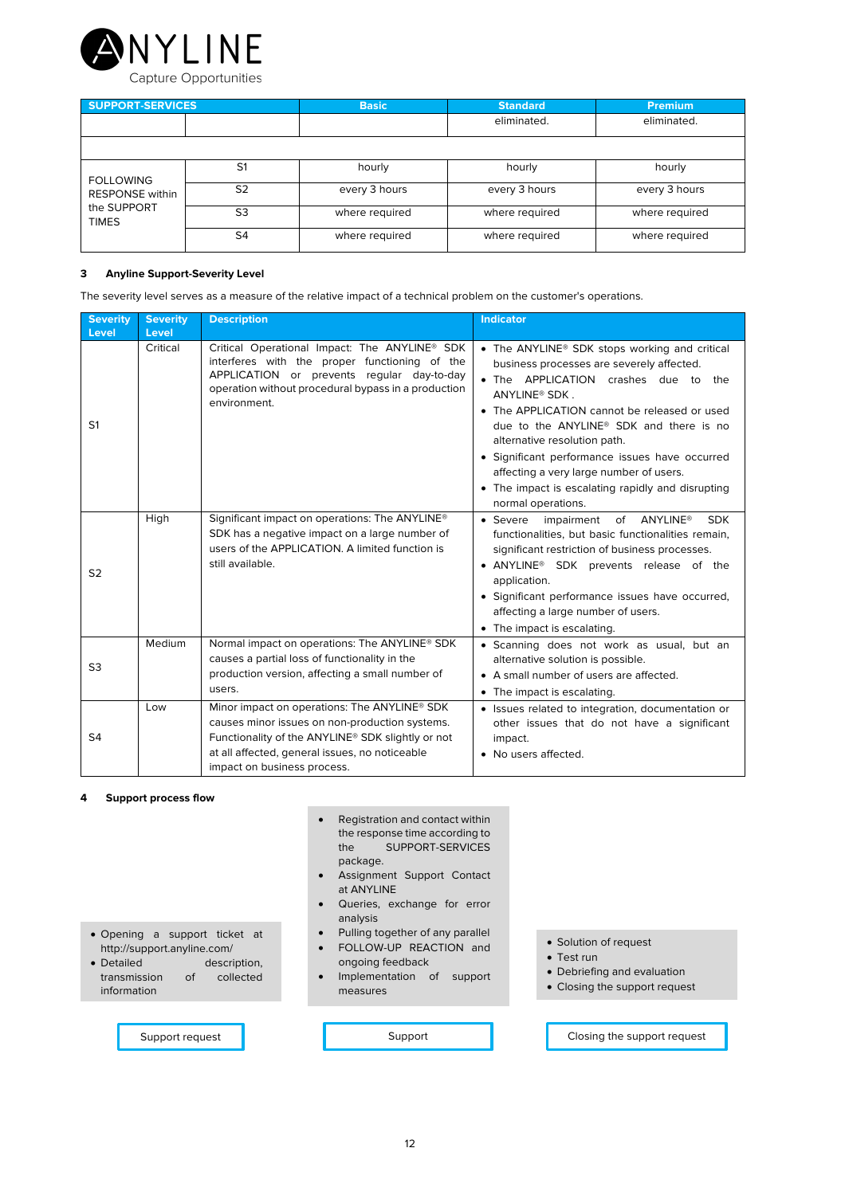

| <b>SUPPORT-SERVICES</b>                               |                | <b>Basic</b>   | <b>Standard</b> | <b>Premium</b> |
|-------------------------------------------------------|----------------|----------------|-----------------|----------------|
|                                                       |                |                | eliminated.     | eliminated.    |
|                                                       |                |                |                 |                |
| <b>FOLLOWING</b>                                      | S <sub>1</sub> | hourly         | hourly          | hourly         |
| <b>RESPONSE</b> within<br>the SUPPORT<br><b>TIMES</b> | S <sub>2</sub> | every 3 hours  | every 3 hours   | every 3 hours  |
|                                                       | S3             | where required | where required  | where required |
|                                                       | S4             | where required | where required  | where required |

## **3 Anyline Support-Severity Level**

The severity level serves as a measure of the relative impact of a technical problem on the customer's operations.

| <b>Severity</b><br><b>Level</b> | <b>Severity</b><br>Level | <b>Description</b>                                                                                                                                                                                                                   | <b>Indicator</b>                                                                                                                                                                                                                                                                                                                                                                                                                                                                              |
|---------------------------------|--------------------------|--------------------------------------------------------------------------------------------------------------------------------------------------------------------------------------------------------------------------------------|-----------------------------------------------------------------------------------------------------------------------------------------------------------------------------------------------------------------------------------------------------------------------------------------------------------------------------------------------------------------------------------------------------------------------------------------------------------------------------------------------|
| S <sub>1</sub>                  | Critical                 | Critical Operational Impact: The ANYLINE <sup>®</sup> SDK<br>interferes with the proper functioning of the<br>APPLICATION or prevents regular day-to-day<br>operation without procedural bypass in a production<br>environment.      | • The ANYLINE <sup>®</sup> SDK stops working and critical<br>business processes are severely affected.<br>• The APPLICATION crashes due to<br>the<br>ANYLINE <sup>®</sup> SDK.<br>• The APPLICATION cannot be released or used<br>due to the ANYLINE <sup>®</sup> SDK and there is no<br>alternative resolution path.<br>• Significant performance issues have occurred<br>affecting a very large number of users.<br>• The impact is escalating rapidly and disrupting<br>normal operations. |
| S <sub>2</sub>                  | High                     | Significant impact on operations: The ANYLINE®<br>SDK has a negative impact on a large number of<br>users of the APPLICATION. A limited function is<br>still available.                                                              | of ANYLINE®<br>• Severe<br>impairment<br><b>SDK</b><br>functionalities, but basic functionalities remain,<br>significant restriction of business processes.<br>• ANYLINE® SDK prevents release of the<br>application.<br>• Significant performance issues have occurred,<br>affecting a large number of users.<br>• The impact is escalating.                                                                                                                                                 |
| S <sub>3</sub>                  | Medium                   | Normal impact on operations: The ANYLINE® SDK<br>causes a partial loss of functionality in the<br>production version, affecting a small number of<br>users.                                                                          | · Scanning does not work as usual, but an<br>alternative solution is possible.<br>• A small number of users are affected.<br>• The impact is escalating.                                                                                                                                                                                                                                                                                                                                      |
| S <sub>4</sub>                  | Low                      | Minor impact on operations: The ANYLINE® SDK<br>causes minor issues on non-production systems.<br>Functionality of the ANYLINE® SDK slightly or not<br>at all affected, general issues, no noticeable<br>impact on business process. | • Issues related to integration, documentation or<br>other issues that do not have a significant<br>impact.<br>• No users affected.                                                                                                                                                                                                                                                                                                                                                           |

# **4 Support process flow**

information

- Registration and contact within the response time according to the SUPPORT-SERVICES package. • Assignment Support Contact
	- at ANYLINE
	- Queries, exchange for error analysis
	- Pulling together of any parallel
	- FOLLOW-UP REACTION and ongoing feedback
	- Implementation of support measures

of collected

• Opening a support ticket at http://support.anyline.com/ • Detailed description,<br>transmission of collected

- Solution of request
- Test run
- Debriefing and evaluation
- Closing the support request

Support request **Support** Support **Support** Closing the support request